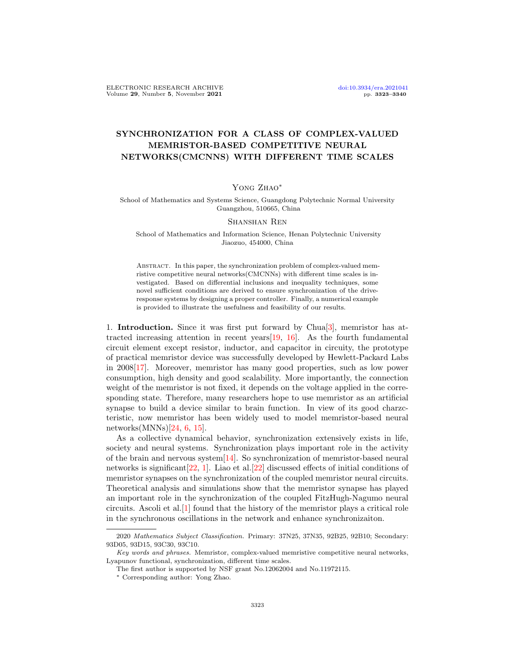# SYNCHRONIZATION FOR A CLASS OF COMPLEX-VALUED MEMRISTOR-BASED COMPETITIVE NEURAL NETWORKS(CMCNNS) WITH DIFFERENT TIME SCALES

#### YONG ZHAO<sup>\*</sup>

School of Mathematics and Systems Science, Guangdong Polytechnic Normal University Guangzhou, 510665, China

### Shanshan Ren

School of Mathematics and Information Science, Henan Polytechnic University Jiaozuo, 454000, China

Abstract. In this paper, the synchronization problem of complex-valued memristive competitive neural networks(CMCNNs) with different time scales is investigated. Based on differential inclusions and inequality techniques, some novel sufficient conditions are derived to ensure synchronization of the driveresponse systems by designing a proper controller. Finally, a numerical example is provided to illustrate the usefulness and feasibility of our results.

1. Introduction. Since it was first put forward by Chua[\[3\]](#page-16-0), memristor has attracted increasing attention in recent years[\[19,](#page-16-1) [16\]](#page-16-2). As the fourth fundamental circuit element except resistor, inductor, and capacitor in circuity, the prototype of practical memristor device was successfully developed by Hewlett-Packard Labs in 2008[\[17\]](#page-16-3). Moreover, memristor has many good properties, such as low power consumption, high density and good scalability. More importantly, the connection weight of the memristor is not fixed, it depends on the voltage applied in the corresponding state. Therefore, many researchers hope to use memristor as an artificial synapse to build a device similar to brain function. In view of its good charzcteristic, now memristor has been widely used to model memristor-based neural networks $(MNNs)[24, 6, 15]$  $(MNNs)[24, 6, 15]$  $(MNNs)[24, 6, 15]$  $(MNNs)[24, 6, 15]$  $(MNNs)[24, 6, 15]$  $(MNNs)[24, 6, 15]$ .

As a collective dynamical behavior, synchronization extensively exists in life, society and neural systems. Synchronization plays important role in the activity of the brain and nervous system  $[14]$ . So synchronization of memristor-based neural networks is significant[\[22,](#page-16-8) [1\]](#page-16-9). Liao et al.[\[22\]](#page-16-8) discussed effects of initial conditions of memristor synapses on the synchronization of the coupled memristor neural circuits. Theoretical analysis and simulations show that the memristor synapse has played an important role in the synchronization of the coupled FitzHugh-Nagumo neural circuits. Ascoli et al.[\[1\]](#page-16-9) found that the history of the memristor plays a critical role in the synchronous oscillations in the network and enhance synchronizaiton.

<sup>2020</sup> Mathematics Subject Classification. Primary: 37N25, 37N35, 92B25, 92B10; Secondary: 93D05, 93D15, 93C30, 93C10.

Key words and phrases. Memristor, complex-valued memristive competitive neural networks, Lyapunov functional, synchronization, different time scales.

The first author is supported by NSF grant No.12062004 and No.11972115.

<sup>∗</sup> Corresponding author: Yong Zhao.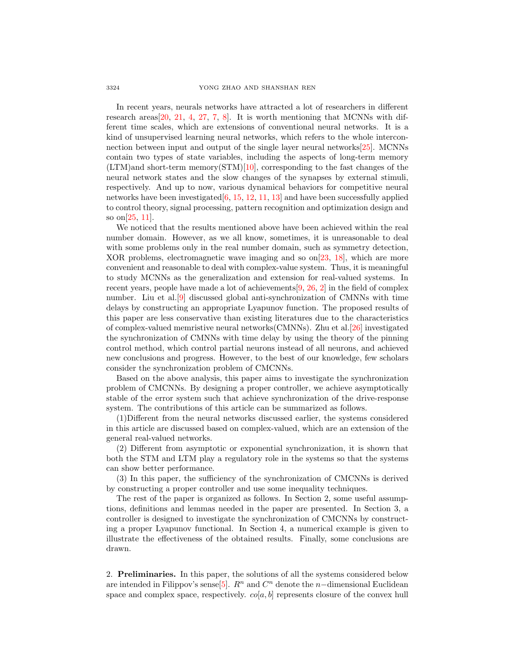In recent years, neurals networks have attracted a lot of researchers in different research areas  $[20, 21, 4, 27, 7, 8]$  $[20, 21, 4, 27, 7, 8]$  $[20, 21, 4, 27, 7, 8]$  $[20, 21, 4, 27, 7, 8]$  $[20, 21, 4, 27, 7, 8]$  $[20, 21, 4, 27, 7, 8]$  $[20, 21, 4, 27, 7, 8]$  $[20, 21, 4, 27, 7, 8]$  $[20, 21, 4, 27, 7, 8]$  $[20, 21, 4, 27, 7, 8]$  $[20, 21, 4, 27, 7, 8]$ . It is worth mentioning that MCNNs with different time scales, which are extensions of conventional neural networks. It is a kind of unsupervised learning neural networks, which refers to the whole interconnection between input and output of the single layer neural networks[\[25\]](#page-16-15). MCNNs contain two types of state variables, including the aspects of long-term memory  $(LTM)$  and short-term memory $(STM)[10]$  $(STM)[10]$ , corresponding to the fast changes of the neural network states and the slow changes of the synapses by external stimuli, respectively. And up to now, various dynamical behaviors for competitive neural networks have been investigated  $[6, 15, 12, 11, 13]$  $[6, 15, 12, 11, 13]$  $[6, 15, 12, 11, 13]$  $[6, 15, 12, 11, 13]$  $[6, 15, 12, 11, 13]$  $[6, 15, 12, 11, 13]$  $[6, 15, 12, 11, 13]$  $[6, 15, 12, 11, 13]$  $[6, 15, 12, 11, 13]$  and have been successfully applied to control theory, signal processing, pattern recognition and optimization design and so on[\[25,](#page-16-15) [11\]](#page-16-18).

We noticed that the results mentioned above have been achieved within the real number domain. However, as we all know, sometimes, it is unreasonable to deal with some problems only in the real number domain, such as symmetry detection, XOR problems, electromagnetic wave imaging and so  $\text{on}[23, 18]$  $\text{on}[23, 18]$  $\text{on}[23, 18]$  $\text{on}[23, 18]$ , which are more convenient and reasonable to deal with complex-value system. Thus, it is meaningful to study MCNNs as the generalization and extension for real-valued systems. In recent years, people have made a lot of achievements[\[9,](#page-16-22) [26,](#page-17-1) [2\]](#page-16-23) in the field of complex number. Liu et al.[\[9\]](#page-16-22) discussed global anti-synchronization of CMNNs with time delays by constructing an appropriate Lyapunov function. The proposed results of this paper are less conservative than existing literatures due to the characteristics of complex-valued memristive neural networks(CMNNs). Zhu et al.[\[26\]](#page-17-1) investigated the synchronization of CMNNs with time delay by using the theory of the pinning control method, which control partial neurons instead of all neurons, and achieved new conclusions and progress. However, to the best of our knowledge, few scholars consider the synchronization problem of CMCNNs.

Based on the above analysis, this paper aims to investigate the synchronization problem of CMCNNs. By designing a proper controller, we achieve asymptotically stable of the error system such that achieve synchronization of the drive-response system. The contributions of this article can be summarized as follows.

(1)Different from the neural networks discussed earlier, the systems considered in this article are discussed based on complex-valued, which are an extension of the general real-valued networks.

(2) Different from asymptotic or exponential synchronization, it is shown that both the STM and LTM play a regulatory role in the systems so that the systems can show better performance.

(3) In this paper, the sufficiency of the synchronization of CMCNNs is derived by constructing a proper controller and use some inequality techniques.

The rest of the paper is organized as follows. In Section 2, some useful assumptions, definitions and lemmas needed in the paper are presented. In Section 3, a controller is designed to investigate the synchronization of CMCNNs by constructing a proper Lyapunov functional. In Section 4, a numerical example is given to illustrate the effectiveness of the obtained results. Finally, some conclusions are drawn.

2. Preliminaries. In this paper, the solutions of all the systems considered below are intended in Filippov's sense<sup>[\[5\]](#page-16-24)</sup>.  $R^n$  and  $C^n$  denote the n-dimensional Euclidean space and complex space, respectively.  $\alpha[a, b]$  represents closure of the convex hull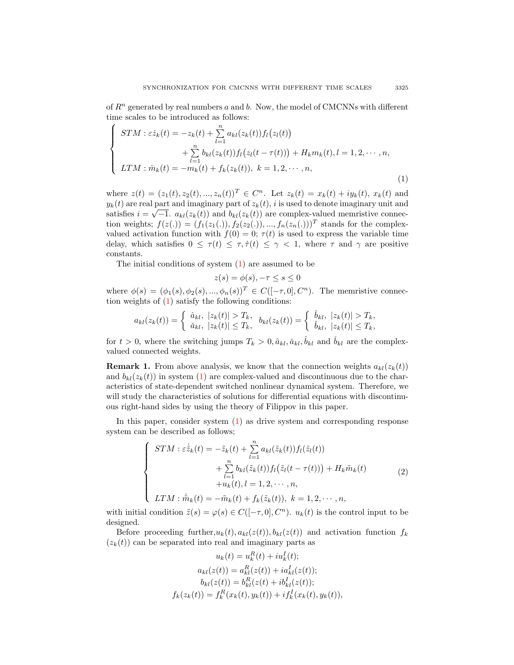of  $R<sup>n</sup>$  generated by real numbers a and b. Now, the model of CMCNNs with different time scales to be introduced as follows:

<span id="page-2-0"></span>
$$
\begin{cases}\nSTM: \varepsilon \dot{z}_k(t) = -z_k(t) + \sum_{l=1}^n a_{kl}(z_k(t)) f_l(z_l(t)) \\
+ \sum_{l=1}^n b_{kl}(z_k(t)) f_l(z_l(t-\tau(t))) + H_k m_k(t), l = 1, 2, \cdots, n, \\
LTM: \dot{m}_k(t) = -m_k(t) + f_k(z_k(t)), \ k = 1, 2, \cdots, n,\n\end{cases} (1)
$$

where  $z(t) = (z_1(t), z_2(t), ..., z_n(t))^T \in C^n$ . Let  $z_k(t) = x_k(t) + iy_k(t), x_k(t)$  and  $y_k(t)$  are real part and imaginary part of  $z_k(t)$ , i is used to denote imaginary unit and satisfies  $i = \sqrt{-1}$ .  $a_{kl}(z_k(t))$  and  $b_{kl}(z_k(t))$  are complex-valued memristive connection weights;  $f(z(.)) = (f_1(z_1(.)), f_2(z_2(.)), ..., f_n(z_n(.)))^T$  stands for the complexvalued activation function with  $f(0) = 0$ ;  $\tau(t)$  is used to express the variable time delay, which satisfies  $0 \leq \tau(t) \leq \tau, \dot{\tau}(t) \leq \gamma < 1$ , where  $\tau$  and  $\gamma$  are positive constants.

The initial conditions of system  $(1)$  are assumed to be

$$
z(s) = \phi(s), -\tau \le s \le 0
$$

where  $\phi(s) = (\phi_1(s), \phi_2(s), ..., \phi_n(s))^T \in C([-\tau, 0], C^n)$ . The memristive connection weights of  $(1)$  satisfy the following conditions:

$$
a_{kl}(z_k(t)) = \begin{cases} \hat{a}_{kl}, \ |z_k(t)| > T_k, \\ \check{a}_{kl}, \ |z_k(t)| \le T_k, \end{cases} b_{kl}(z_k(t)) = \begin{cases} \hat{b}_{kl}, \ |z_k(t)| > T_k, \\ \check{b}_{kl}, \ |z_k(t)| \le T_k, \end{cases}
$$

for  $t > 0$ , where the switching jumps  $T_k > 0$ ,  $\hat{a}_{kl}$ ,  $\hat{a}_{kl}$ ,  $\hat{b}_{kl}$  and  $\check{b}_{kl}$  are the complexvalued connected weights.

**Remark 1.** From above analysis, we know that the connection weights  $a_{kl}(z_k(t))$ and  $b_{kl}(z_k(t))$  in system [\(1\)](#page-2-0) are complex-valued and discontinuous due to the characteristics of state-dependent switched nonlinear dynamical system. Therefore, we will study the characteristics of solutions for differential equations with discontinuous right-hand sides by using the theory of Filippov in this paper.

In this paper, consider system [\(1\)](#page-2-0) as drive system and corresponding response system can be described as follows;

$$
\begin{cases}\nSTM: \tilde{\varepsilon}_{k}(t) = -\tilde{z}_{k}(t) + \sum_{l=1}^{n} a_{kl}(\tilde{z}_{k}(t)) f_{l}(\tilde{z}_{l}(t)) \\
+ \sum_{l=1}^{n} b_{kl}(\tilde{z}_{k}(t)) f_{l}(\tilde{z}_{l}(t-\tau(t))) + H_{k} \tilde{m}_{k}(t) \\
+ u_{k}(t), l = 1, 2, \cdots, n, \\
LTM: \dot{\tilde{m}}_{k}(t) = -\tilde{m}_{k}(t) + f_{k}(\tilde{z}_{k}(t)), \ k = 1, 2, \cdots, n,\n\end{cases}
$$
\n(2)

<span id="page-2-1"></span>with initial condition  $\tilde{z}(s) = \varphi(s) \in C([-\tau, 0], C^n)$ .  $u_k(t)$  is the control input to be designed.

Before proceeding further,  $u_k(t)$ ,  $a_{kl}(z(t))$ ,  $b_{kl}(z(t))$  and activation function  $f_k$  $(z_k(t))$  can be separated into real and imaginary parts as

$$
u_k(t) = u_k^R(t) + i u_k^I(t);
$$
  
\n
$$
a_{kl}(z(t)) = a_{kl}^R(z(t)) + i a_{kl}^I(z(t));
$$
  
\n
$$
b_{kl}(z(t)) = b_{kl}^R(z(t) + i b_{kl}^I(z(t));
$$
  
\n
$$
f_k(z_k(t)) = f_k^R(x_k(t), y_k(t)) + i f_k^I(x_k(t), y_k(t)),
$$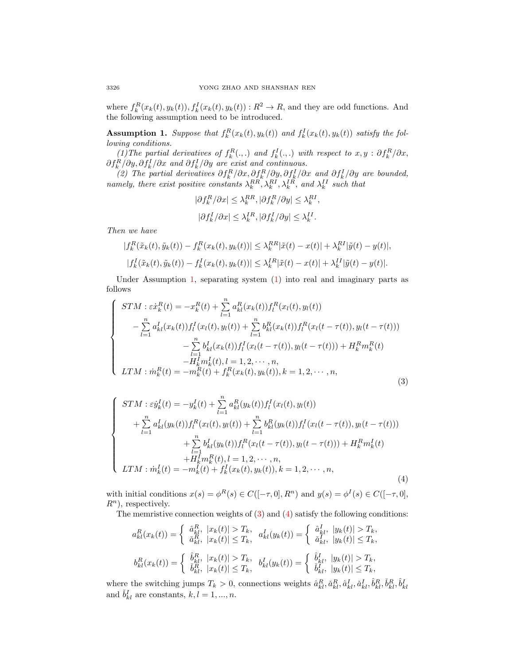where  $f_k^R(x_k(t), y_k(t)), f_k^I(x_k(t), y_k(t)) : R^2 \to R$ , and they are odd functions. And the following assumption need to be introduced.

<span id="page-3-0"></span>**Assumption 1.** Suppose that  $f_k^R(x_k(t), y_k(t))$  and  $f_k^I(x_k(t), y_k(t))$  satisfy the following conditions.

(1)The partial derivatives of  $f_k^R(.,.)$  and  $f_k^I(.,.)$  with respect to  $x, y : \partial f_k^R/ \partial x$ ,  $\partial f_k^R / \partial y, \partial f_k^I / \partial x$  and  $\partial f_k^I / \partial y$  are exist and continuous.

(2) The partial derivatives  $\partial f_k^R/\partial x$ ,  $\partial f_k^R/\partial y$ ,  $\partial f_k^I/\partial x$  and  $\partial f_k^I/\partial y$  are bounded, namely, there exist positive constants  $\lambda_k^{RR}$ ,  $\lambda_k^{RI}$ ,  $\lambda_k^{IR}$ , and  $\lambda_k^{II}$  such that

$$
|\partial f_k^R / \partial x| \le \lambda_k^{RR}, |\partial f_k^R / \partial y| \le \lambda_k^{RI},
$$
  

$$
|\partial f_k^I / \partial x| \le \lambda_k^{IR}, |\partial f_k^I / \partial y| \le \lambda_k^{II}.
$$

Then we have

$$
|f_k^R(\tilde{x}_k(t), \tilde{y}_k(t)) - f_k^R(x_k(t), y_k(t))| \leq \lambda_k^{RR} |\tilde{x}(t) - x(t)| + \lambda_k^{RI} |\tilde{y}(t) - y(t)|,
$$
  

$$
|f_k^I(\tilde{x}_k(t), \tilde{y}_k(t)) - f_k^I(x_k(t), y_k(t))| \leq \lambda_k^{IR} |\tilde{x}(t) - x(t)| + \lambda_k^{II} |\tilde{y}(t) - y(t)|.
$$

Under Assumption [1,](#page-3-0) separating system  $(1)$  into real and imaginary parts as follows

<span id="page-3-1"></span>
$$
\begin{cases}\nSTM: \varepsilon \dot{x}_k^R(t) = -x_k^R(t) + \sum_{l=1}^n a_{kl}^R(x_k(t)) f_l^R(x_l(t), y_l(t)) \\
-\sum_{l=1}^n a_{kl}^I(x_k(t)) f_l^I(x_l(t), y_l(t)) + \sum_{l=1}^n b_{kl}^R(x_k(t)) f_l^R(x_l(t - \tau(t)), y_l(t - \tau(t))) \\
-\sum_{l=1}^n b_{kl}^I(x_k(t)) f_l^I(x_l(t - \tau(t)), y_l(t - \tau(t))) + H_k^R m_k^R(t) \\
-H_k^I m_k^I(t), l = 1, 2, \cdots, n, \\
LTM: \dot{m}_k^R(t) = -m_k^R(t) + f_k^R(x_k(t), y_k(t)), k = 1, 2, \cdots, n,\n\end{cases} (3)
$$

<span id="page-3-2"></span>
$$
\begin{cases}\nSTM: \varepsilon \dot{y}_k^I(t) = -y_k^I(t) + \sum_{l=1}^n a_{kl}^R(y_k(t)) f_l^I(x_l(t), y_l(t)) \\
+ \sum_{l=1}^n a_{kl}^I(y_k(t)) f_l^R(x_l(t), y_l(t)) + \sum_{l=1}^n b_{kl}^R(y_k(t)) f_l^I(x_l(t - \tau(t)), y_l(t - \tau(t))) \\
+ \sum_{l=1}^n b_{kl}^I(y_k(t)) f_l^R(x_l(t - \tau(t)), y_l(t - \tau(t))) + H_k^R m_k^I(t) \\
+ H_k^I m_k^R(t), l = 1, 2, \cdots, n, \\
LTM: \dot{m}_k^I(t) = -m_k^I(t) + f_k^I(x_k(t), y_k(t)), k = 1, 2, \cdots, n,\n\end{cases} \tag{4}
$$

with initial conditions  $x(s) = \phi^R(s) \in C([-\tau, 0], R^n)$  and  $y(s) = \phi^I(s) \in C([-\tau, 0],$  $R<sup>n</sup>$ ), respectively.

The memristive connection weights of  $(3)$  and  $(4)$  satisfy the following conditions:

$$
a_{kl}^{R}(x_{k}(t)) = \begin{cases} \n\hat{a}_{kl}^{R}, \ |x_{k}(t)| > T_{k}, \\
\hat{a}_{kl}^{R}, \ |x_{k}(t)| \leq T_{k},\n\end{cases} \quad a_{kl}^{I}(y_{k}(t)) = \begin{cases} \n\hat{a}_{kl}^{I}, \ |y_{k}(t)| > T_{k}, \\
\hat{a}_{kl}^{I}, \ |y_{k}(t)| \leq T_{k},\n\end{cases}
$$
\n
$$
b_{kl}^{R}(x_{k}(t)) = \begin{cases} \n\hat{b}_{kl}^{R}, \ |x_{k}(t)| > T_{k}, \\
\hat{b}_{kl}^{R}, \ |x_{k}(t)| \leq T_{k},\n\end{cases} \quad b_{kl}^{I}(y_{k}(t)) = \begin{cases} \n\hat{b}_{kl}^{I}, \ |y_{k}(t)| > T_{k}, \\
\hat{b}_{kl}^{I}, \ |y_{k}(t)| \leq T_{k},\n\end{cases}
$$

where the switching jumps  $T_k > 0$ , connections weights  $\hat{a}_{kl}^R$ ,  $\hat{a}_{kl}^R$ ,  $\hat{a}_{kl}^I$ ,  $\hat{b}_{kl}^I$ ,  $\hat{b}_{kl}^R$ ,  $\hat{b}_{kl}^R$ ,  $\hat{b}_{kl}^R$ ,  $\hat{b}_{kl}^I$ and  $\check{b}_{kl}^I$  are constants,  $k, l = 1, ..., n$ .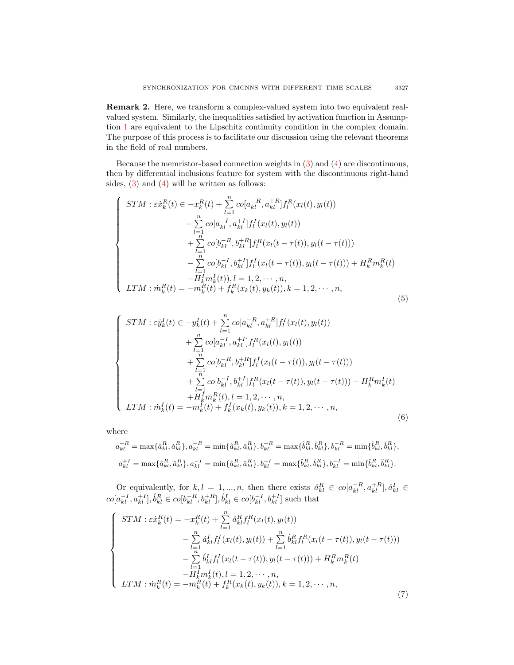Remark 2. Here, we transform a complex-valued system into two equivalent realvalued system. Similarly, the inequalities satisfied by activation function in Assumption [1](#page-3-0) are equivalent to the Lipschitz continuity condition in the complex domain. The purpose of this process is to facilitate our discussion using the relevant theorems in the field of real numbers.

Because the memristor-based connection weights in [\(3\)](#page-3-1) and [\(4\)](#page-3-2) are discontinuous, then by differential inclusions feature for system with the discontinuous right-hand sides,  $(3)$  and  $(4)$  will be written as follows:

<span id="page-4-0"></span>
$$
\begin{cases}\nSTM: \varepsilon \dot{x}_k^R(t) \in -x_k^R(t) + \sum_{l=1}^n \varepsilon o[a_{kl}^{-R}, a_{kl}^{+R}] f_l^R(x_l(t), y_l(t)) \\
- \sum_{l=1}^n \varepsilon o[a_{kl}^{-I}, a_{kl}^{+I}] f_l^I(x_l(t), y_l(t)) \\
+ \sum_{l=1}^n \varepsilon o[b_{kl}^{-R}, b_{kl}^{+R}] f_l^R(x_l(t - \tau(t)), y_l(t - \tau(t))) \\
- \sum_{l=1}^n \varepsilon o[b_{kl}^{-I}, b_{kl}^{+I}] f_l^I(x_l(t - \tau(t)), y_l(t - \tau(t))) + H_k^R m_k^R(t) \\
-H_k^I m_k^I(t), l = 1, 2, \cdots, n, \\
LTM: \dot{m}_k^R(t) = -m_k^R(t) + f_k^R(x_k(t), y_k(t)), k = 1, 2, \cdots, n,\n\end{cases} (5)
$$

<span id="page-4-1"></span>
$$
\begin{cases}\nSTM: \varepsilon \dot{y}_k^I(t) \in -y_k^I(t) + \sum_{l=1}^n \varepsilon o[a_{kl}^{-R}, a_{kl}^{+R}] f_l^I(x_l(t), y_l(t)) \\
+ \sum_{l=1}^n \varepsilon o[a_{kl}^{-I}, a_{kl}^{+I}] f_l^R(x_l(t), y_l(t)) \\
+ \sum_{l=1}^n \varepsilon o[b_{kl}^{-R}, b_{kl}^{+R}] f_l^I(x_l(t - \tau(t)), y_l(t - \tau(t))) \\
+ \sum_{l=1}^n \varepsilon o[b_{kl}^{-I}, b_{kl}^{+I}] f_l^R(x_l(t - \tau(t)), y_l(t - \tau(t))) + H_k^R m_k^I(t) \\
+ H_k^I m_k^R(t), l = 1, 2, \cdots, n, \\
LTM: \dot{m}_k^I(t) = -m_k^I(t) + f_k^I(x_k(t), y_k(t)), k = 1, 2, \cdots, n,\n\end{cases} \n\tag{6}
$$

where

$$
a_{kl}^{+R} = \max\{\hat{a}_{kl}^R, \check{a}_{kl}^R\}, a_{kl}^{-R} = \min\{\hat{a}_{kl}^R, \check{a}_{kl}^R\}, b_{kl}^{+R} = \max\{\hat{b}_{kl}^R, \check{b}_{kl}^R\}, b_{kl}^{-R} = \min\{\hat{b}_{kl}^R, \check{b}_{kl}^R\},
$$
  

$$
a_{kl}^{+I} = \max\{\hat{a}_{kl}^R, \check{a}_{kl}^R\}, a_{kl}^{-I} = \min\{\hat{a}_{kl}^R, \check{a}_{kl}^R\}, b_{kl}^{+I} = \max\{\hat{b}_{kl}^R, \check{b}_{kl}^R\}, b_{kl}^{-I} = \min\{\hat{b}_{kl}^R, \check{b}_{kl}^R\}.
$$

Or equivalently, for  $k, l = 1, ..., n$ , then there exists  $\hat{a}_{kl}^R \in co[a_{kl}^{-R}, a_{kl}^{+R}], \hat{a}_{kl}^I \in$  $co[a_{kl}^{-I}, a_{kl}^{+I}], \dot{b}_{kl}^{R} \in co[b_{kl}^{-R}, b_{kl}^{+R}], \dot{b}_{kl}^{I} \in co[b_{kl}^{-I}, b_{kl}^{+I}]$  such that

$$
\begin{cases}\nSTM: \varepsilon \dot{x}_k^R(t) = -x_k^R(t) + \sum_{l=1}^n \dot{a}_{kl}^R f_l^R(x_l(t), y_l(t)) \\
- \sum_{l=1}^n \dot{a}_{kl}^I f_l^I(x_l(t), y_l(t)) + \sum_{l=1}^n \dot{b}_{kl}^R f_l^R(x_l(t - \tau(t)), y_l(t - \tau(t))) \\
- \sum_{l=1}^n \dot{b}_{kl}^I f_l^I(x_l(t - \tau(t)), y_l(t - \tau(t))) + H_k^R m_k^R(t) \\
- H_k^I m_k^I(t), l = 1, 2, \cdots, n, \\
LTM: \dot{m}_k^R(t) = -m_k^R(t) + f_k^R(x_k(t), y_k(t)), k = 1, 2, \cdots, n,\n\end{cases} (7)
$$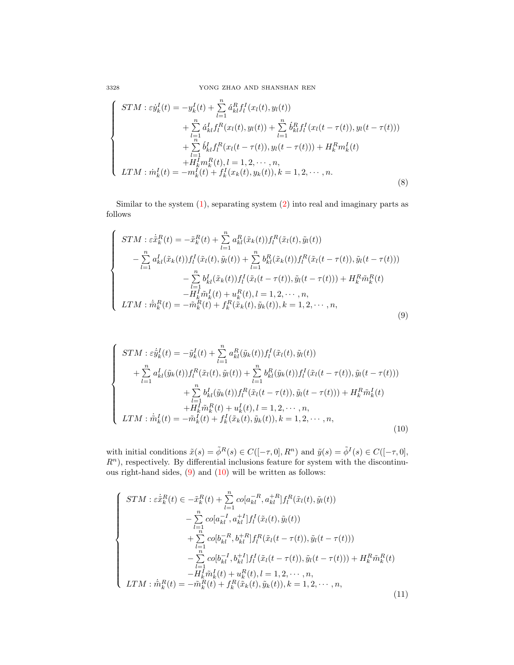3328 YONG ZHAO AND SHANSHAN REN

$$
\begin{cases}\nSTM: \varepsilon \dot{y}_k^I(t) = -y_k^I(t) + \sum_{l=1}^n \dot{a}_{kl}^R f_l^I(x_l(t), y_l(t)) \\
+ \sum_{l=1}^n \dot{a}_{kl}^I f_l^R(x_l(t), y_l(t)) + \sum_{l=1}^n \dot{b}_{kl}^R f_l^I(x_l(t - \tau(t)), y_l(t - \tau(t))) \\
+ \sum_{l=1}^n \dot{b}_{kl}^I f_l^R(x_l(t - \tau(t)), y_l(t - \tau(t))) + H_k^R m_k^I(t) \\
+ H_k^I m_k^R(t), l = 1, 2, \cdots, n, \\
LTM: \dot{m}_k^I(t) = -m_k^I(t) + f_k^I(x_k(t), y_k(t)), k = 1, 2, \cdots, n.\n\end{cases} \tag{8}
$$

Similar to the system  $(1)$ , separating system  $(2)$  into real and imaginary parts as follows

<span id="page-5-0"></span>
$$
\begin{cases}\nSTM: \tilde{\varepsilon}_{k}^{R}(t) = -\tilde{x}_{k}^{R}(t) + \sum_{l=1}^{n} a_{kl}^{R}(\tilde{x}_{k}(t)) f_{l}^{R}(\tilde{x}_{l}(t), \tilde{y}_{l}(t)) \\
-\sum_{l=1}^{n} a_{kl}^{I}(\tilde{x}_{k}(t)) f_{l}^{I}(\tilde{x}_{l}(t), \tilde{y}_{l}(t)) + \sum_{l=1}^{n} b_{kl}^{R}(\tilde{x}_{k}(t)) f_{l}^{R}(\tilde{x}_{l}(t - \tau(t)), \tilde{y}_{l}(t - \tau(t))) \\
-\sum_{l=1}^{n} b_{kl}^{I}(\tilde{x}_{k}(t)) f_{l}^{I}(\tilde{x}_{l}(t - \tau(t)), \tilde{y}_{l}(t - \tau(t))) + H_{k}^{R} \tilde{m}_{k}^{R}(t) \\
-H_{k}^{I} \tilde{m}_{k}^{I}(t) + u_{k}^{R}(t), l = 1, 2, \cdots, n, \\
LTM: \dot{\tilde{m}}_{k}^{R}(t) = -\tilde{m}_{k}^{R}(t) + f_{k}^{R}(\tilde{x}_{k}(t), \tilde{y}_{k}(t)), k = 1, 2, \cdots, n,\n\end{cases} \tag{9}
$$

<span id="page-5-1"></span>
$$
\begin{cases}\nSTM: \varepsilon \dot{\tilde{y}}_k^I(t) = -\tilde{y}_k^I(t) + \sum_{l=1}^n a_{kl}^R(\tilde{y}_k(t)) f_l^I(\tilde{x}_l(t), \tilde{y}_l(t)) \\
+ \sum_{l=1}^n a_{kl}^I(\tilde{y}_k(t)) f_l^R(\tilde{x}_l(t), \tilde{y}_l(t)) + \sum_{l=1}^n b_{kl}^R(\tilde{y}_k(t)) f_l^I(\tilde{x}_l(t - \tau(t)), \tilde{y}_l(t - \tau(t))) \\
+ \sum_{l=1}^n b_{kl}^I(\tilde{y}_k(t)) f_l^R(\tilde{x}_l(t - \tau(t)), \tilde{y}_l(t - \tau(t))) + H_k^R \tilde{m}_k^I(t) \\
+ H_k^I \tilde{m}_k^R(t) + u_k^I(t), l = 1, 2, \dots, n, \\
LTM: \dot{\tilde{m}}_k^I(t) = -\tilde{m}_k^I(t) + f_k^I(\tilde{x}_k(t), \tilde{y}_k(t)), k = 1, 2, \dots, n,\n\end{cases} (10)
$$

with initial conditions  $\tilde{x}(s) = \tilde{\phi}^R(s) \in C([-\tau, 0], R^n)$  and  $\tilde{y}(s) = \tilde{\phi}^I(s) \in C([-\tau, 0],$  $R<sup>n</sup>$ ), respectively. By differential inclusions feature for system with the discontinuous right-hand sides, [\(9\)](#page-5-0) and [\(10\)](#page-5-1) will be written as follows:

<span id="page-5-2"></span>
$$
\begin{cases}\nSTM: \varepsilon \dot{\tilde{x}}_k^R(t) \in -\tilde{x}_k^R(t) + \sum_{l=1}^n \varepsilon o[a_{kl}^{-R}, a_{kl}^{+R}] f_l^R(\tilde{x}_l(t), \tilde{y}_l(t)) \\
- \sum_{l=1}^n \varepsilon o[a_{kl}^{-l}, a_{kl}^{+l}] f_l^I(\tilde{x}_l(t), \tilde{y}_l(t)) \\
+ \sum_{l=1}^n \varepsilon o[b_{kl}^{-R}, b_{kl}^{+R}] f_l^R(\tilde{x}_l(t - \tau(t)), \tilde{y}_l(t - \tau(t))) \\
- \sum_{l=1}^n \varepsilon o[b_{kl}^{-l}, b_{kl}^{+l}] f_l^I(\tilde{x}_l(t - \tau(t)), \tilde{y}_l(t - \tau(t))) + H_k^R \tilde{m}_k^R(t) \\
-H_k^I \tilde{m}_k^I(t) + u_k^R(t), l = 1, 2, \cdots, n, \\
LTM: \dot{\tilde{m}}_k^R(t) = -\tilde{m}_k^R(t) + f_k^R(\tilde{x}_k(t), \tilde{y}_k(t)), k = 1, 2, \cdots, n,\n\end{cases} (11)
$$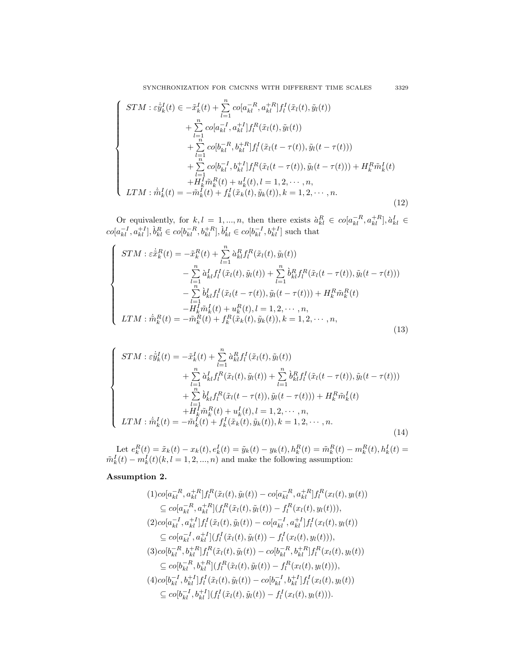SYNCHRONIZATION FOR CMCNNS WITH DIFFERENT TIME SCALES 3329

<span id="page-6-0"></span>
$$
\begin{cases}\nSTM: \varepsilon \dot{\tilde{y}}_k^I(t) \in -\tilde{x}_k^I(t) + \sum_{l=1}^n \varepsilon o[a_{kl}^{-R}, a_{kl}^{+R}] f_l^I(\tilde{x}_l(t), \tilde{y}_l(t)) \\
+ \sum_{l=1}^n \varepsilon o[a_{kl}^{-I}, a_{kl}^{+I}] f_l^R(\tilde{x}_l(t), \tilde{y}_l(t)) \\
+ \sum_{l=1}^n \varepsilon o[b_{kl}^{-R}, b_{kl}^{+R}] f_l^I(\tilde{x}_l(t - \tau(t)), \tilde{y}_l(t - \tau(t))) \\
+ \sum_{l=1}^n \varepsilon o[b_{kl}^{-I}, b_{kl}^{+I}] f_l^R(\tilde{x}_l(t - \tau(t)), \tilde{y}_l(t - \tau(t))) + H_k^R \tilde{m}_k^I(t) \\
+ H_k^I \tilde{m}_k^R(t) + u_k^I(t), l = 1, 2, \cdots, n, \\
LTM: \dot{m}_k^I(t) = -\tilde{m}_k^I(t) + f_k^I(\tilde{x}_k(t), \tilde{y}_k(t)), k = 1, 2, \cdots, n.\n\end{cases} (12)
$$

Or equivalently, for  $k, l = 1, ..., n$ , then there exists  $\hat{a}_{kl}^R \in co[a_{kl}^{-R}, a_{kl}^{+R}], \hat{a}_{kl}^I \in$  $co[a_{kl}^{-I}, a_{kl}^{+I}], \dot{b}_{kl}^{R} \in co[b_{kl}^{-R}, b_{kl}^{+R}], \dot{b}_{kl}^{I} \in co[b_{kl}^{-I}, b_{kl}^{+I}]$  such that

$$
\begin{cases}\nSTM: \varepsilon \dot{\tilde{x}}_k^R(t) = -\tilde{x}_k^R(t) + \sum_{l=1}^n \dot{a}_{kl}^R f_l^R(\tilde{x}_l(t), \tilde{y}_l(t)) \\
- \sum_{l=1}^n \dot{a}_{kl}^I f_l^I(\tilde{x}_l(t), \tilde{y}_l(t)) + \sum_{l=1}^n \dot{b}_{kl}^R f_l^R(\tilde{x}_l(t - \tau(t)), \tilde{y}_l(t - \tau(t))) \\
- \sum_{l=1}^n \dot{b}_{kl}^I f_l^I(\tilde{x}_l(t - \tau(t)), \tilde{y}_l(t - \tau(t))) + H_k^R \tilde{m}_k^R(t) \\
- H_k^I \tilde{m}_k^I(t) + u_k^R(t), l = 1, 2, \cdots, n, \\
LTM: \dot{m}_k^R(t) = -\tilde{m}_k^R(t) + f_k^R(\tilde{x}_k(t), \tilde{y}_k(t)), k = 1, 2, \cdots, n,\n\end{cases} (13)
$$

$$
\begin{cases}\nSTM: \varepsilon \dot{\tilde{y}}_k^I(t) = -\tilde{x}_k^I(t) + \sum_{l=1}^n \dot{a}_{kl}^R f_l^I(\tilde{x}_l(t), \tilde{y}_l(t)) \\
+ \sum_{l=1}^n \dot{a}_{kl}^I f_l^R(\tilde{x}_l(t), \tilde{y}_l(t)) + \sum_{l=1}^n \dot{b}_{kl}^R f_l^I(\tilde{x}_l(t - \tau(t)), \tilde{y}_l(t - \tau(t))) \\
+ \sum_{l=1}^n \dot{b}_{kl}^I f_l^R(\tilde{x}_l(t - \tau(t)), \tilde{y}_l(t - \tau(t))) + H_k^R \tilde{m}_k^I(t) \\
+ H_k^I \tilde{m}_k^R(t) + u_k^I(t), l = 1, 2, \cdots, n, \\
LTM: \dot{m}_k^I(t) = -\tilde{m}_k^I(t) + f_k^I(\tilde{x}_k(t), \tilde{y}_k(t)), k = 1, 2, \cdots, n.\n\end{cases} (14)
$$

Let  $e_k^R(t) = \tilde{x}_k(t) - x_k(t), e_k^I(t) = \tilde{y}_k(t) - y_k(t), h_k^R(t) = \tilde{m}_k^R(t) - m_k^R(t), h_k^I(t) =$  $\tilde{m}_k^I(t) - m_k^I(t)(k, l = 1, 2, ..., n)$  and make the following assumption:

## <span id="page-6-1"></span>Assumption 2.

$$
(1) co[a_{kl}^{-R}, a_{kl}^{+R}] f_l^R(\tilde{x}_l(t), \tilde{y}_l(t)) - co[a_{kl}^{-R}, a_{kl}^{+R}] f_l^R(x_l(t), y_l(t))
$$
  
\n
$$
\subseteq co[a_{kl}^{-R}, a_{kl}^{+R}] (f_l^R(\tilde{x}_l(t), \tilde{y}_l(t)) - f_l^R(x_l(t), y_l(t))),
$$
  
\n
$$
(2) co[a_{kl}^{-I}, a_{kl}^{+I}] f_l^I(\tilde{x}_l(t), \tilde{y}_l(t)) - co[a_{kl}^{-I}, a_{kl}^{+I}] f_l^I(x_l(t), y_l(t))
$$
  
\n
$$
\subseteq co[a_{kl}^{-I}, a_{kl}^{+I}] (f_l^I(\tilde{x}_l(t), \tilde{y}_l(t)) - f_l^I(x_l(t), y_l(t))),
$$
  
\n
$$
(3) co[b_{kl}^{-R}, b_{kl}^{+R}] f_l^R(\tilde{x}_l(t), \tilde{y}_l(t)) - co[b_{kl}^{-R}, b_{kl}^{+R}] f_l^R(x_l(t), y_l(t))
$$
  
\n
$$
\subseteq co[b_{kl}^{-R}, b_{kl}^{+R}] (f_l^R(\tilde{x}_l(t), \tilde{y}_l(t)) - f_l^R(x_l(t), y_l(t))),
$$
  
\n
$$
(4) co[b_{kl}^{-I}, b_{kl}^{+I}] f_l^I(\tilde{x}_l(t), \tilde{y}_l(t)) - co[b_{kl}^{-I}, b_{kl}^{+I}] f_l^I(x_l(t), y_l(t))
$$
  
\n
$$
\subseteq co[b_{kl}^{-I}, b_{kl}^{+I}] (f_l^I(\tilde{x}_l(t), \tilde{y}_l(t)) - f_l^I(x_l(t), y_l(t))).
$$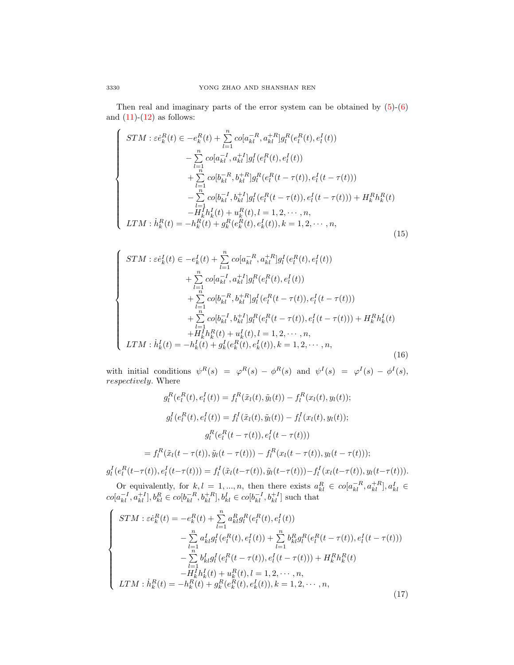Then real and imaginary parts of the error system can be obtained by  $(5)-(6)$  $(5)-(6)$  $(5)-(6)$ and  $(11)-(12)$  $(11)-(12)$  $(11)-(12)$  as follows:

$$
\begin{cases}\nSTM: \varepsilon \dot{e}_{k}^{R}(t) \in -e_{k}^{R}(t) + \sum_{l=1}^{n} co[a_{kl}^{-R}, a_{kl}^{+R}]g_{l}^{R}(e_{l}^{R}(t), e_{l}^{I}(t)) \\
- \sum_{l=1}^{n} co[a_{kl}^{-I}, a_{kl}^{+I}]g_{l}^{I}(e_{l}^{R}(t), e_{l}^{I}(t)) \\
+ \sum_{l=1}^{n} co[b_{kl}^{-R}, b_{kl}^{+R}]g_{l}^{R}(e_{l}^{R}(t-\tau(t)), e_{l}^{I}(t-\tau(t))) \\
- \sum_{l=1}^{n} co[b_{kl}^{-I}, b_{kl}^{+I}]g_{l}^{I}(e_{l}^{R}(t-\tau(t)), e_{l}^{I}(t-\tau(t))) + H_{k}^{R}h_{k}^{R}(t) \\
-H_{k}^{I}h_{k}^{I}(t) + u_{k}^{R}(t), l = 1, 2, \cdots, n, \\
LTM: \dot{h}_{k}^{R}(t) = -h_{k}^{R}(t) + g_{k}^{R}(e_{k}^{R}(t), e_{k}^{I}(t)), k = 1, 2, \cdots, n,\n\end{cases}
$$
\n(15)

$$
\begin{cases}\nSTM: \varepsilon \dot{e}_k^I(t) \in -e_k^I(t) + \sum_{l=1}^n \varepsilon o[a_{kl}^{-R}, a_{kl}^{+R}]g_l^I(e_l^R(t), e_l^I(t)) \\
+ \sum_{l=1}^n \varepsilon o[a_{kl}^{-I}, a_{kl}^{+I}]g_l^R(e_l^R(t), e_l^I(t)) \\
+ \sum_{l=1}^n \varepsilon o[b_{kl}^{-R}, b_{kl}^{+R}]g_l^I(e_l^R(t - \tau(t)), e_l^I(t - \tau(t))) \\
+ \sum_{l=1}^n \varepsilon o[b_{kl}^{-I}, b_{kl}^{+I}]g_l^R(e_l^R(t - \tau(t)), e_l^I(t - \tau(t))) + H_k^R h_k^I(t) \\
+ H_k^I h_k^R(t) + u_k^I(t), l = 1, 2, \cdots, n, \\
LTM: \dot{h}_k^I(t) = -h_k^I(t) + g_k^I(e_k^R(t), e_k^I(t)), k = 1, 2, \cdots, n,\n\end{cases} (16)
$$

with initial conditions  $\psi^R(s) = \varphi^R(s) - \varphi^R(s)$  and  $\psi^I(s) = \varphi^I(s) - \varphi^I(s)$ , respectively. Where

$$
g_l^R(e_l^R(t), e_l^I(t)) = f_l^R(\tilde{x}_l(t), \tilde{y}_l(t)) - f_l^R(x_l(t), y_l(t));
$$
  
\n
$$
g_l^I(e_l^R(t), e_l^I(t)) = f_l^I(\tilde{x}_l(t), \tilde{y}_l(t)) - f_l^I(x_l(t), y_l(t));
$$
  
\n
$$
g_l^R(e_l^R(t - \tau(t)), e_l^I(t - \tau(t)))
$$
  
\n
$$
= f_l^R(\tilde{x}_l(t - \tau(t)), \tilde{y}_l(t - \tau(t))) - f_l^R(x_l(t - \tau(t)), y_l(t - \tau(t)));
$$

 $g_l^I(e_l^R(t-\tau(t)), e_l^I(t-\tau(t))) = f_l^I(\tilde{x}_l(t-\tau(t)), \tilde{y}_l(t-\tau(t))) - f_l^I(x_l(t-\tau(t)), y_l(t-\tau(t))).$ 

Or equivalently, for  $k, l = 1, ..., n$ , then there exists  $a_{kl}^R \in co[a_{kl}^{-R}, a_{kl}^{+R}], a_{kl}^I \in$  $co[a_{kl}^{-I}, a_{kl}^{+I}], b_{kl}^{R} \in co[b_{kl}^{-R}, b_{kl}^{+R}], b_{kl}^{I} \in co[b_{kl}^{-I}, b_{kl}^{+I}]$  such that

<span id="page-7-0"></span>
$$
\begin{cases}\nSTM: \varepsilon \dot{e}_k^R(t) = -e_k^R(t) + \sum_{l=1}^n a_{kl}^R g_l^R(e_l^R(t), e_l^I(t)) \\
- \sum_{l=1}^n a_{kl}^I g_l^I(e_l^R(t), e_l^I(t)) + \sum_{l=1}^n b_{kl}^R g_l^R(e_l^R(t - \tau(t)), e_l^I(t - \tau(t))) \\
- \sum_{l=1}^n b_{kl}^I g_l^I(e_l^R(t - \tau(t)), e_l^I(t - \tau(t))) + H_k^R h_k^R(t) \\
- H_k^I h_k^I(t) + u_k^R(t), l = 1, 2, \cdots, n, \\
LTM: \dot{h}_k^R(t) = -h_k^R(t) + g_k^R(e_k^R(t), e_k^I(t)), k = 1, 2, \cdots, n,\n\end{cases} (17)
$$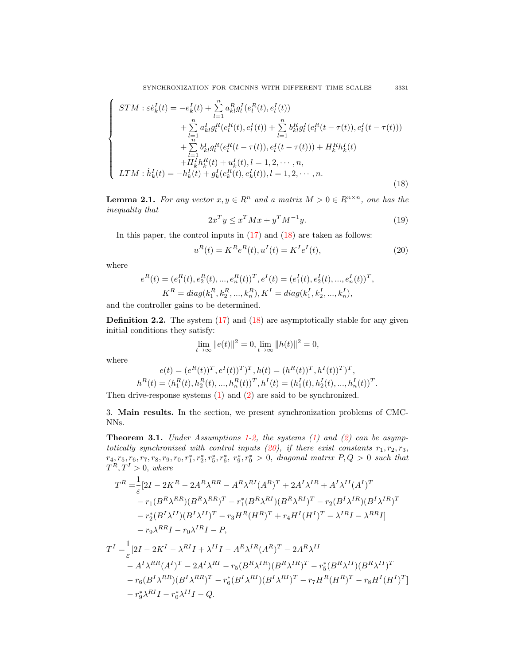SYNCHRONIZATION FOR CMCNNS WITH DIFFERENT TIME SCALES 3331

<span id="page-8-0"></span>
$$
\begin{cases}\nSTM: \varepsilon \dot{e}_k^I(t) = -e_k^I(t) + \sum_{l=1}^n a_{kl}^R g_l^I(e_l^R(t), e_l^I(t)) \\
+ \sum_{l=1}^n a_{kl}^I g_l^R(e_l^R(t), e_l^I(t)) + \sum_{l=1}^n b_{kl}^R g_l^I(e_l^R(t - \tau(t)), e_l^I(t - \tau(t))) \\
+ \sum_{l=1}^n b_{kl}^I g_l^R(e_l^R(t - \tau(t)), e_l^I(t - \tau(t))) + H_k^R h_k^I(t) \\
+ H_k^I h_k^R(t) + u_k^I(t), l = 1, 2, \cdots, n, \\
LTM: \dot{h}_k^I(t) = -h_k^I(t) + g_k^I(e_k^R(t), e_k^I(t)), l = 1, 2, \cdots, n.\n\end{cases} (18)
$$

<span id="page-8-2"></span>**Lemma 2.1.** For any vector  $x, y \in R^n$  and a matrix  $M > 0 \in R^{n \times n}$ , one has the inequality that

$$
2x^T y \le x^T M x + y^T M^{-1} y. \tag{19}
$$

<span id="page-8-1"></span>In this paper, the control inputs in  $(17)$  and  $(18)$  are taken as follows:

$$
u^{R}(t) = K^{R}e^{R}(t), u^{I}(t) = K^{I}e^{I}(t),
$$
\n(20)

where

$$
e^{R}(t) = (e_{1}^{R}(t), e_{2}^{R}(t), ..., e_{n}^{R}(t))^{T}, e^{I}(t) = (e_{1}^{I}(t), e_{2}^{I}(t), ..., e_{n}^{I}(t))^{T},
$$
  

$$
K^{R} = diag(k_{1}^{R}, k_{2}^{R}, ..., k_{n}^{R}), K^{I} = diag(k_{1}^{I}, k_{2}^{I}, ..., k_{n}^{I}),
$$

and the controller gains to be determined.

<span id="page-8-3"></span>**Definition 2.2.** The system  $(17)$  and  $(18)$  are asymptotically stable for any given initial conditions they satisfy:

$$
\lim_{t \to \infty} ||e(t)||^2 = 0, \lim_{t \to \infty} ||h(t)||^2 = 0,
$$

where

$$
e(t) = (e^{R}(t))^{T}, e^{I}(t))^{T} \mathcal{F}, h(t) = (h^{R}(t))^{T}, h^{I}(t))^{T} \mathcal{F},
$$
  

$$
h^{R}(t) = (h_{1}^{R}(t), h_{2}^{R}(t), ..., h_{n}^{R}(t))^{T}, h^{I}(t) = (h_{1}^{I}(t), h_{2}^{I}(t), ..., h_{n}^{I}(t))^{T}.
$$

Then drive-response systems [\(1\)](#page-2-0) and [\(2\)](#page-2-1) are said to be synchronized.

3. Main results. In the section, we present synchronization problems of CMC-NNs.

<span id="page-8-4"></span>**Theorem 3.1.** Under Assumptions [1-](#page-3-0)[2,](#page-6-1) the systems  $(1)$  and  $(2)$  can be asymp-totically synchronized with control inputs [\(20\)](#page-8-1), if there exist constants  $r_1, r_2, r_3$ ,  $r_4, r_5, r_6, r_7, r_8, r_9, r_0, r_1^*, r_2^*, r_5^*, r_6^*, r_9^*, r_0^* > 0$ , diagonal matrix  $P, Q > 0$  such that  $T^R, T^I > 0$ , where

$$
T^{R} = \frac{1}{\varepsilon} [2I - 2K^{R} - 2A^{R}\lambda^{RR} - A^{R}\lambda^{RI}(A^{R})^{T} + 2A^{I}\lambda^{IR} + A^{I}\lambda^{II}(A^{I})^{T} - r_{1}(B^{R}\lambda^{RR})(B^{R}\lambda^{RR})^{T} - r_{1}^{*}(B^{R}\lambda^{RI})(B^{R}\lambda^{RI})^{T} - r_{2}(B^{I}\lambda^{IR})(B^{I}\lambda^{IR})^{T} - r_{2}^{*}(B^{I}\lambda^{II})(B^{I}\lambda^{II})^{T} - r_{3}H^{R}(H^{R})^{T} + r_{4}H^{I}(H^{I})^{T} - \lambda^{IR}I - \lambda^{RR}I] - r_{9}\lambda^{RR}I - r_{0}\lambda^{IR}I - P,
$$

$$
T^{I} = \frac{1}{\varepsilon} [2I - 2K^{I} - \lambda^{RI}I + \lambda^{II}I - A^{R}\lambda^{IR}(A^{R})^{T} - 2A^{R}\lambda^{II} - A^{I}\lambda^{RR}(A^{I})^{T} - 2A^{I}\lambda^{RI} - r_{5}(B^{R}\lambda^{IR})(B^{R}\lambda^{IR})^{T} - r_{5}^{*}(B^{R}\lambda^{II})(B^{R}\lambda^{II})^{T} - r_{6}(B^{I}\lambda^{RR})(B^{I}\lambda^{RR})^{T} - r_{6}^{*}(B^{I}\lambda^{RI})(B^{I}\lambda^{RI})^{T} - r_{7}H^{R}(H^{R})^{T} - r_{8}H^{I}(H^{I})^{T}] - r_{9}^{*}\lambda^{RI}I - r_{0}^{*}\lambda^{II}I - Q.
$$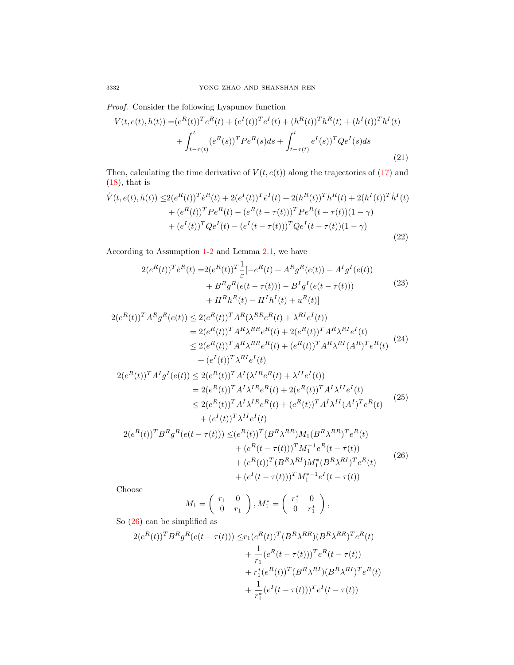Proof. Consider the following Lyapunov function

$$
V(t, e(t), h(t)) = (e^{R}(t))^{T} e^{R}(t) + (e^{I}(t))^{T} e^{I}(t) + (h^{R}(t))^{T} h^{R}(t) + (h^{I}(t))^{T} h^{I}(t) + \int_{t-\tau(t)}^{t} (e^{R}(s))^{T} P e^{R}(s) ds + \int_{t-\tau(t)}^{t} e^{I}(s))^{T} Q e^{I}(s) ds
$$
\n(21)

Then, calculating the time derivative of  $V(t, e(t))$  along the trajectories of [\(17\)](#page-7-0) and  $(18)$ , that is

<span id="page-9-2"></span>
$$
\dot{V}(t, e(t), h(t)) \leq 2(e^{R}(t))^{T} e^{R}(t) + 2(e^{I}(t))^{T} e^{I}(t) + 2(h^{R}(t))^{T} h^{R}(t) + 2(h^{I}(t))^{T} h^{I}(t) \n+ (e^{R}(t))^{T} P e^{R}(t) - (e^{R}(t - \tau(t)))^{T} P e^{R}(t - \tau(t)) (1 - \gamma) \n+ (e^{I}(t))^{T} Q e^{I}(t) - (e^{I}(t - \tau(t)))^{T} Q e^{I}(t - \tau(t)) (1 - \gamma)
$$
\n(22)

According to Assumption [1-](#page-3-0)[2](#page-6-1) and Lemma [2.1,](#page-8-2) we have

<span id="page-9-1"></span>
$$
2(e^{R}(t))^{T}e^{R}(t) = 2(e^{R}(t))^{T} \frac{1}{\varepsilon}[-e^{R}(t) + A^{R}g^{R}(e(t)) - A^{I}g^{I}(e(t))+ B^{R}g^{R}(e(t - \tau(t))) - B^{I}g^{I}(e(t - \tau(t)))+ H^{R}h^{R}(t) - H^{I}h^{I}(t) + u^{R}(t)]
$$
\n(23)

$$
2(e^{R}(t))^{T} A^{R} g^{R}(e(t)) \leq 2(e^{R}(t))^{T} A^{R} (\lambda^{RR} e^{R}(t) + \lambda^{RI} e^{I}(t))
$$
  
\n
$$
= 2(e^{R}(t))^{T} A^{R} \lambda^{RR} e^{R}(t) + 2(e^{R}(t))^{T} A^{R} \lambda^{RI} e^{I}(t)
$$
  
\n
$$
\leq 2(e^{R}(t))^{T} A^{R} \lambda^{RR} e^{R}(t) + (e^{R}(t))^{T} A^{R} \lambda^{RI} (A^{R})^{T} e^{R}(t)
$$
  
\n
$$
+ (e^{I}(t))^{T} \lambda^{RI} e^{I}(t)
$$
 (24)

$$
2(e^{R}(t))^{T} A^{I} g^{I}(e(t)) \leq 2(e^{R}(t))^{T} A^{I} (\lambda^{IR} e^{R}(t) + \lambda^{II} e^{I}(t))
$$
  
\n
$$
= 2(e^{R}(t))^{T} A^{I} \lambda^{IR} e^{R}(t) + 2(e^{R}(t))^{T} A^{I} \lambda^{II} e^{I}(t)
$$
  
\n
$$
\leq 2(e^{R}(t))^{T} A^{I} \lambda^{IR} e^{R}(t) + (e^{R}(t))^{T} A^{I} \lambda^{II} (A^{I})^{T} e^{R}(t)
$$
  
\n
$$
+ (e^{I}(t))^{T} \lambda^{II} e^{I}(t)
$$
  
\n
$$
2(e^{R}(t))^{T} B^{R} g^{R}(e(t - \tau(t))) \leq (e^{R}(t))^{T} (B^{R} \lambda^{RR}) M_{1} (B^{R} \lambda^{RR})^{T} e^{R}(t)
$$
  
\n
$$
+ (e^{R}(t - \tau(t)))^{T} M_{1}^{-1} e^{R}(t - \tau(t))
$$
  
\n
$$
+ (e^{R}(t))^{T} (B^{R} \lambda^{RI}) M_{1}^{*} (B^{R} \lambda^{RI})^{T} e^{R}(t)
$$
  
\n
$$
+ (e^{I}(t - \tau(t)))^{T} M_{1}^{* -1} e^{I}(t - \tau(t))
$$
  
\n(26)

<span id="page-9-0"></span>Choose

$$
M_1 = \left(\begin{array}{cc} r_1 & 0 \\ 0 & r_1 \end{array}\right), M_1^* = \left(\begin{array}{cc} r_1^* & 0 \\ 0 & r_1^* \end{array}\right),
$$

So [\(26\)](#page-9-0) can be simplified as

$$
2(e^{R}(t))^{T}B^{R}g^{R}(e(t-\tau(t))) \leq r_{1}(e^{R}(t))^{T}(B^{R}\lambda^{RR})(B^{R}\lambda^{RR})^{T}e^{R}(t) + \frac{1}{r_{1}}(e^{R}(t-\tau(t)))^{T}e^{R}(t-\tau(t)) + r_{1}^{*}(e^{R}(t))^{T}(B^{R}\lambda^{RI})(B^{R}\lambda^{RI})^{T}e^{R}(t) + \frac{1}{r_{1}^{*}}(e^{I}(t-\tau(t)))^{T}e^{I}(t-\tau(t))
$$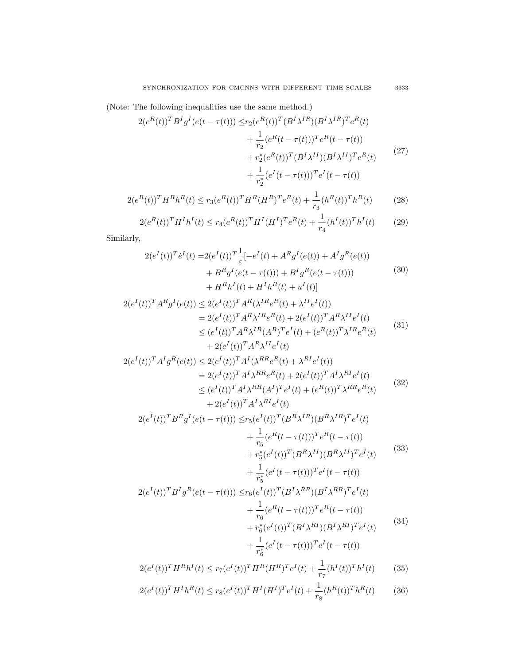(Note: The following inequalities use the same method.)

$$
2(e^{R}(t))^{T}B^{I}g^{I}(e(t-\tau(t))) \leq r_{2}(e^{R}(t))^{T}(B^{I}\lambda^{IR})(B^{I}\lambda^{IR})^{T}e^{R}(t) + \frac{1}{r_{2}}(e^{R}(t-\tau(t)))^{T}e^{R}(t-\tau(t)) + r_{2}^{*}(e^{R}(t))^{T}(B^{I}\lambda^{II})(B^{I}\lambda^{II})^{T}e^{R}(t) + \frac{1}{r_{2}^{*}}(e^{I}(t-\tau(t)))^{T}e^{I}(t-\tau(t))
$$
\n(27)

$$
2(e^{R}(t))^{T}H^{R}h^{R}(t) \leq r_{3}(e^{R}(t))^{T}H^{R}(H^{R})^{T}e^{R}(t) + \frac{1}{r_{3}}(h^{R}(t))^{T}h^{R}(t) \tag{28}
$$

$$
2(e^{R}(t))^{T}H^{I}h^{I}(t) \leq r_{4}(e^{R}(t))^{T}H^{I}(H^{I})^{T}e^{R}(t) + \frac{1}{r_{4}}(h^{I}(t))^{T}h^{I}(t)
$$
(29)

Similarly,

$$
2(e^{I}(t))^{T} e^{I}(t) = 2(e^{I}(t))^{T} \frac{1}{\varepsilon} [-e^{I}(t) + A^{R} g^{I}(e(t)) + A^{I} g^{R}(e(t)) + B^{R} g^{I}(e(t - \tau(t))) + B^{I} g^{R}(e(t - \tau(t))) + H^{R} h^{I}(t) + H^{I} h^{R}(t) + u^{I}(t)]
$$
\n(30)

$$
2(e^{I}(t))^{T} A^{R} g^{I}(e(t)) \leq 2(e^{I}(t))^{T} A^{R} (\lambda^{IR} e^{R}(t) + \lambda^{II} e^{I}(t))
$$
  
\n
$$
= 2(e^{I}(t))^{T} A^{R} \lambda^{IR} e^{R}(t) + 2(e^{I}(t))^{T} A^{R} \lambda^{II} e^{I}(t)
$$
  
\n
$$
\leq (e^{I}(t))^{T} A^{R} \lambda^{IR} (A^{R})^{T} e^{I}(t) + (e^{R}(t))^{T} \lambda^{IR} e^{R}(t)
$$
  
\n
$$
+ 2(e^{I}(t))^{T} A^{R} \lambda^{II} e^{I}(t)
$$
\n(31)

$$
2(e^{I}(t))^{T} A^{I} g^{R}(e(t)) \leq 2(e^{I}(t))^{T} A^{I} (\lambda^{RR} e^{R}(t) + \lambda^{RI} e^{I}(t))
$$
  
\n
$$
= 2(e^{I}(t))^{T} A^{I} \lambda^{RR} e^{R}(t) + 2(e^{I}(t))^{T} A^{I} \lambda^{RI} e^{I}(t)
$$
  
\n
$$
\leq (e^{I}(t))^{T} A^{I} \lambda^{RR} (A^{I})^{T} e^{I}(t) + (e^{R}(t))^{T} \lambda^{RR} e^{R}(t)
$$
  
\n
$$
+ 2(e^{I}(t))^{T} A^{I} \lambda^{RI} e^{I}(t)
$$
\n(32)

$$
2(e^{I}(t))^{T}B^{R}g^{I}(e(t-\tau(t))) \leq r_{5}(e^{I}(t))^{T}(B^{R}\lambda^{IR})(B^{R}\lambda^{IR})^{T}e^{I}(t) + \frac{1}{r_{5}}(e^{R}(t-\tau(t)))^{T}e^{R}(t-\tau(t)) + r_{5}^{*}(e^{I}(t))^{T}(B^{R}\lambda^{II})(B^{R}\lambda^{II})^{T}e^{I}(t) + \frac{1}{r_{5}}(e^{I}(t-\tau(t)))^{T}e^{I}(t-\tau(t))
$$
\n(33)

$$
2(e^{I}(t))^{T}B^{I}g^{R}(e(t-\tau(t))) \leq r_{6}(e^{I}(t))^{T}(B^{I}\lambda^{RR})(B^{I}\lambda^{RR})^{T}e^{I}(t) + \frac{1}{r_{6}}(e^{R}(t-\tau(t)))^{T}e^{R}(t-\tau(t)) + r_{6}^{*}(e^{I}(t))^{T}(B^{I}\lambda^{RI})(B^{I}\lambda^{RI})^{T}e^{I}(t) + \frac{1}{r_{6}^{*}}(e^{I}(t-\tau(t)))^{T}e^{I}(t-\tau(t))
$$
\n(34)

$$
2(e^{I}(t))^{T}H^{R}h^{I}(t) \le r_{7}(e^{I}(t))^{T}H^{R}(H^{R})^{T}e^{I}(t) + \frac{1}{r_{7}}(h^{I}(t))^{T}h^{I}(t)
$$
(35)

$$
2(e^{I}(t))^{T}H^{I}h^{R}(t) \leq r_{8}(e^{I}(t))^{T}H^{I}(H^{I})^{T}e^{I}(t) + \frac{1}{r_{8}}(h^{R}(t))^{T}h^{R}(t)
$$
(36)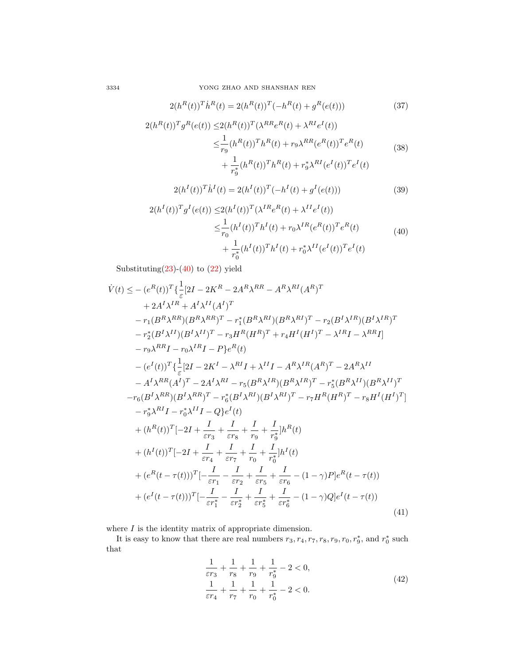$$
2(h^{R}(t))^{T} \dot{h}^{R}(t) = 2(h^{R}(t))^{T} (-h^{R}(t) + g^{R}(e(t)))
$$
\n(37)

$$
2(h^{R}(t))^{T} g^{R}(e(t)) \leq 2(h^{R}(t))^{T} (\lambda^{RR} e^{R}(t) + \lambda^{RI} e^{I}(t))
$$
  

$$
\leq \frac{1}{r_{9}} (h^{R}(t))^{T} h^{R}(t) + r_{9} \lambda^{RR} (e^{R}(t))^{T} e^{R}(t)
$$
  

$$
+ \frac{1}{r_{9}^{*}} (h^{R}(t))^{T} h^{R}(t) + r_{9}^{*} \lambda^{RI} (e^{I}(t))^{T} e^{I}(t)
$$
 (38)

$$
2(hI(t))ThI(t) = 2(hI(t))T(-hI(t) + gI(e(t)))
$$
\n(39)

$$
2(h^{I}(t))^{T}g^{I}(e(t)) \leq 2(h^{I}(t))^{T}(\lambda^{IR}e^{R}(t) + \lambda^{II}e^{I}(t))
$$
  

$$
\leq \frac{1}{r_{0}}(h^{I}(t))^{T}h^{I}(t) + r_{0}\lambda^{IR}(e^{R}(t))^{T}e^{R}(t)
$$
  

$$
+ \frac{1}{r_{0}^{*}}(h^{I}(t))^{T}h^{I}(t) + r_{0}^{*}\lambda^{II}(e^{I}(t))^{T}e^{I}(t)
$$
 (40)

<span id="page-11-0"></span>Substituting $(23)-(40)$  $(23)-(40)$  $(23)-(40)$  to  $(22)$  yield

<span id="page-11-1"></span>
$$
\dot{V}(t) \leq - (e^{R}(t))^{T} \{ \frac{1}{\varepsilon} [2I - 2K^{R} - 2A^{R} \lambda^{RR} - A^{R} \lambda^{RI} (A^{R})^{T} \right. \\
\left. + 2A^{I} \lambda^{IR} + A^{I} \lambda^{II} (A^{I})^{T} \right. \\
\left. - r_{1}(B^{R} \lambda^{RR}) (B^{R} \lambda^{RR})^{T} - r_{1}^{*} (B^{R} \lambda^{RI}) (B^{R} \lambda^{RI})^{T} - r_{2} (B^{I} \lambda^{IR}) (B^{I} \lambda^{IR})^{T} \right. \\
\left. - r_{2}^{*} (B^{I} \lambda^{II}) (B^{I} \lambda^{II})^{T} - r_{3} H^{R} (H^{R})^{T} + r_{4} H^{I} (H^{I})^{T} - \lambda^{IR} I - \lambda^{RR} I \right] \\
\left. - r_{9} \lambda^{RR} I - r_{0} \lambda^{IR} I - P \right\} e^{R}(t) \\
\left. - (e^{I}(t))^{T} \{ \frac{1}{\varepsilon} [2I - 2K^{I} - \lambda^{RI} I + \lambda^{II} I - A^{R} \lambda^{IR} (A^{R})^{T} - 2A^{R} \lambda^{II} \right. \\
\left. - A^{I} \lambda^{RR} (A^{I})^{T} - 2A^{I} \lambda^{RI} - r_{5} (B^{R} \lambda^{IR}) (B^{R} \lambda^{IR})^{T} - r_{5}^{*} (B^{R} \lambda^{II}) (B^{R} \lambda^{II})^{T} \right. \\
\left. - r_{6} (B^{I} \lambda^{RR}) (B^{J} \lambda^{RR})^{T} - r_{6}^{*} (B^{J} \lambda^{RI}) (B^{J} \lambda^{RI})^{T} - r_{7} H^{R} (H^{R})^{T} - r_{8} H^{I} (H^{I})^{T} \right. \\
\left. - r_{9}^{*} \lambda^{RI} I - r_{0}^{*} \lambda^{II} I - Q \right\} e^{I}(t) \\
\left. + (h^{R}(t))^{T} [-2I + \frac{I}{\varepsilon r_{3}} + \frac{I}{\varepsilon r_{3}} + \frac{I}{r_{9}} + \frac{I}{r_{9}^{*}} h^{R}(t) \right. \\
\left. + (h^{I}(t))^{T} [-2I + \frac{I}{\varepsilon
$$

where  $I$  is the identity matrix of appropriate dimension.

It is easy to know that there are real numbers  $r_3, r_4, r_7, r_8, r_9, r_0, r_9^*$ , and  $r_0^*$  such that

$$
\frac{1}{\varepsilon r_3} + \frac{1}{r_8} + \frac{1}{r_9} + \frac{1}{r_9^*} - 2 < 0,
$$
\n
$$
\frac{1}{\varepsilon r_4} + \frac{1}{r_7} + \frac{1}{r_0} + \frac{1}{r_0^*} - 2 < 0.
$$
\n
$$
(42)
$$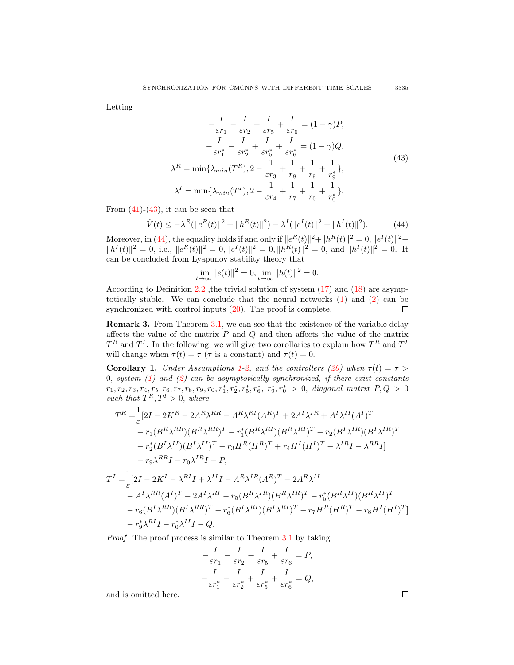<span id="page-12-0"></span>Letting

$$
-\frac{I}{\varepsilon r_1} - \frac{I}{\varepsilon r_2} + \frac{I}{\varepsilon r_5} + \frac{I}{\varepsilon r_6} = (1 - \gamma)P,
$$
  

$$
-\frac{I}{\varepsilon r_1^*} - \frac{I}{\varepsilon r_2^*} + \frac{I}{\varepsilon r_5^*} + \frac{I}{\varepsilon r_6^*} = (1 - \gamma)Q,
$$
  

$$
\lambda^R = \min\{\lambda_{min}(T^R), 2 - \frac{1}{\varepsilon r_3} + \frac{1}{r_8} + \frac{1}{r_9} + \frac{1}{r_9^*}\},
$$
  

$$
\lambda^I = \min\{\lambda_{min}(T^I), 2 - \frac{1}{\varepsilon r_4} + \frac{1}{r_7} + \frac{1}{r_0} + \frac{1}{r_0^*}\}.
$$
  
(43)

<span id="page-12-1"></span>From  $(41)-(43)$  $(41)-(43)$  $(41)-(43)$ , it can be seen that

$$
\dot{V}(t) \le -\lambda^R (\|e^R(t)\|^2 + \|h^R(t)\|^2) - \lambda^I (\|e^I(t)\|^2 + \|h^I(t)\|^2). \tag{44}
$$

Moreover, in [\(44\)](#page-12-1), the equality holds if and only if  $||e^{R}(t)||^{2} + ||h^{R}(t)||^{2} = 0$ ,  $||e^{I}(t)||^{2} + ||h^{R}(t)||^{2}$  $||h^{I}(t)||^{2} = 0$ , i.e.,  $||e^{R}(t)||^{2} = 0$ ,  $||e^{I}(t)||^{2} = 0$ ,  $||h^{R}(t)||^{2} = 0$ , and  $||h^{I}(t)||^{2} = 0$ . It can be concluded from Lyapunov stability theory that

$$
\lim_{t \to \infty} ||e(t)||^2 = 0, \lim_{t \to \infty} ||h(t)||^2 = 0.
$$

According to Definition [2.2](#page-8-3) ,the trivial solution of system [\(17\)](#page-7-0) and [\(18\)](#page-8-0) are asymptotically stable. We can conclude that the neural networks [\(1\)](#page-2-0) and [\(2\)](#page-2-1) can be synchronized with control inputs [\(20\)](#page-8-1). The proof is complete.  $\Box$ 

Remark 3. From Theorem [3.1,](#page-8-4) we can see that the existence of the variable delay affects the value of the matrix  $P$  and  $Q$  and then affects the value of the matrix  $T^R$  and  $T^I$ . In the following, we will give two corollaries to explain how  $T^R$  and  $T^I$ will change when  $\tau(t) = \tau$  ( $\tau$  is a constant) and  $\tau(t) = 0$ .

Corollary [1](#page-3-0). Under Assumptions 1[-2,](#page-6-1) and the controllers [\(20\)](#page-8-1) when  $\tau(t) = \tau >$ 0, system  $(1)$  and  $(2)$  can be asymptotically synchronized, if there exist constants  $r_1, r_2, r_3, r_4, r_5, r_6, r_7, r_8, r_9, r_0, r_1^*, r_2^*, r_5^*, r_6^*, r_9^*, r_0^* > 0$ , diagonal matrix  $P, Q > 0$ such that  $T^R, T^I > 0$ , where

$$
T^{R} = \frac{1}{\varepsilon} [2I - 2K^{R} - 2A^{R}\lambda^{RR} - A^{R}\lambda^{RI}(A^{R})^{T} + 2A^{I}\lambda^{IR} + A^{I}\lambda^{II}(A^{I})^{T} - r_{1}(B^{R}\lambda^{RR})(B^{R}\lambda^{RR})^{T} - r_{1}^{*}(B^{R}\lambda^{RI})(B^{R}\lambda^{RI})^{T} - r_{2}(B^{I}\lambda^{IR})(B^{I}\lambda^{IR})^{T} - r_{2}^{*}(B^{I}\lambda^{II})(B^{I}\lambda^{II})^{T} - r_{3}H^{R}(H^{R})^{T} + r_{4}H^{I}(H^{I})^{T} - \lambda^{IR}I - \lambda^{RR}I] - r_{9}\lambda^{RR}I - r_{0}\lambda^{IR}I - P,
$$

$$
T^{I} = \frac{1}{\varepsilon} [2I - 2K^{I} - \lambda^{RI}I + \lambda^{II}I - A^{R}\lambda^{IR}(A^{R})^{T} - 2A^{R}\lambda^{II} - A^{I}\lambda^{RR}(A^{I})^{T} - 2A^{I}\lambda^{RI} - r_{5}(B^{R}\lambda^{IR})(B^{R}\lambda^{IR})^{T} - r_{5}^{*}(B^{R}\lambda^{II})(B^{R}\lambda^{II})^{T} - r_{6}(B^{I}\lambda^{RR})(B^{I}\lambda^{RR})^{T} - r_{6}^{*}(B^{I}\lambda^{RI})(B^{I}\lambda^{RI})^{T} - r_{7}H^{R}(H^{R})^{T} - r_{8}H^{I}(H^{I})^{T}] - r_{9}^{*}\lambda^{RI}I - r_{0}^{*}\lambda^{II}I - Q.
$$

Proof. The proof process is similar to Theorem [3.1](#page-8-4) by taking

$$
-\frac{I}{\varepsilon r_1} - \frac{I}{\varepsilon r_2} + \frac{I}{\varepsilon r_5} + \frac{I}{\varepsilon r_6} = P,
$$
  

$$
-\frac{I}{\varepsilon r_1^*} - \frac{I}{\varepsilon r_2^*} + \frac{I}{\varepsilon r_5^*} + \frac{I}{\varepsilon r_6^*} = Q,
$$

and is omitted here.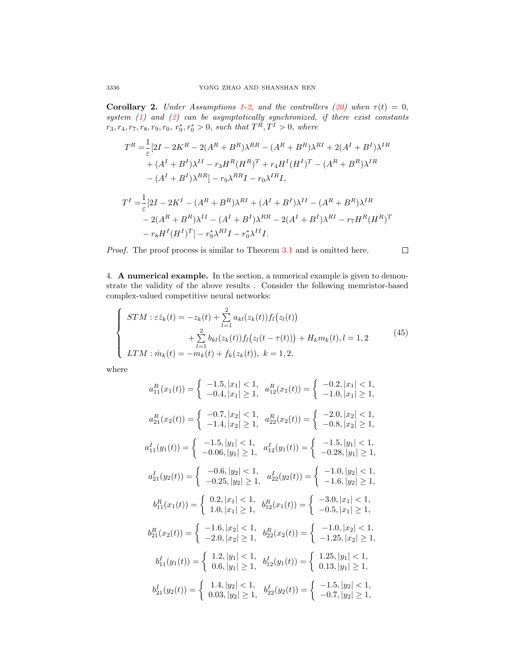Corollary 2. Under Assumptions [1](#page-3-0)[-2,](#page-6-1) and the controllers [\(20\)](#page-8-1) when  $\tau(t) = 0$ , system  $(1)$  and  $(2)$  can be asymptotically synchronized, if there exist constants  $r_3, r_4, r_7, r_8, r_9, r_0, r_9^*, r_0^* > 0$ , such that  $T^R, T^I > 0$ , where

$$
T^{R} = \frac{1}{\varepsilon} [2I - 2K^{R} - 2(A^{R} + B^{R})\lambda^{RR} - (A^{R} + B^{R})\lambda^{RI} + 2(A^{I} + B^{I})\lambda^{IR} + (A^{I} + B^{I})\lambda^{II} - r_{3}H^{R}(H^{R})^{T} + r_{4}H^{I}(H^{I})^{T} - (A^{R} + B^{R})\lambda^{IR} - (A^{I} + B^{I})\lambda^{RR}] - r_{9}\lambda^{RR}I - r_{0}\lambda^{IR}I,
$$

$$
T^{I} = \frac{1}{\varepsilon} [2I - 2K^{I} - (A^{R} + B^{R})\lambda^{RI} + (A^{I} + B^{I})\lambda^{II} - (A^{R} + B^{R})\lambda^{IR} - 2(A^{R} + B^{R})\lambda^{II} - (A^{I} + B^{I})\lambda^{RR} - 2(A^{I} + B^{I})\lambda^{RI} - r_{7}H^{R}(H^{R})^{T} - r_{8}H^{I}(H^{I})^{T}] - r_{9}^{*}\lambda^{RI}I - r_{0}^{*}\lambda^{II}I.
$$

Proof. The proof process is similar to Theorem [3.1](#page-8-4) and is omitted here.

$$
\Box
$$

4. A numerical example. In the section, a numerical example is given to demonstrate the validity of the above results . Consider the following memristor-based complex-valued competitive neural networks:

<span id="page-13-0"></span>
$$
\begin{cases}\nSTM: \varepsilon \dot{z}_k(t) = -z_k(t) + \sum_{l=1}^2 a_{kl}(z_k(t)) f_l(z_l(t)) \\
+ \sum_{l=1}^2 b_{kl}(z_k(t)) f_l(z_l(t-\tau(t))) + H_k m_k(t), l = 1, 2 \\
LT M: \dot{m}_k(t) = -m_k(t) + f_k(z_k(t)), \ k = 1, 2,\n\end{cases} (45)
$$

where

$$
a_{11}^{R}(x_{1}(t)) = \begin{cases} -1.5, |x_{1}| < 1, & a_{12}^{R}(x_{1}(t)) = \begin{cases} -0.2, |x_{1}| < 1, \\ -1.0, |x_{1}| \geq 1, \end{cases} \\ a_{21}^{R}(x_{2}(t)) = \begin{cases} -0.7, |x_{2}| < 1, & a_{22}^{R}(x_{2}(t)) = \begin{cases} -2.0, |x_{2}| < 1, \\ -0.8, |x_{2}| \geq 1, \end{cases} \\ a_{11}^{I}(y_{1}(t)) = \begin{cases} -1.5, |y_{1}| < 1, & a_{12}^{I}(y_{1}(t)) = \begin{cases} -1.5, |y_{1}| < 1, \\ -0.8, |x_{2}| \geq 1, \end{cases} \\ -0.06, |y_{1}| \geq 1, & a_{12}^{I}(y_{1}(t)) = \begin{cases} -1.5, |y_{1}| < 1, \\ -0.28, |y_{1}| \geq 1, \end{cases} \\ a_{21}^{I}(y_{2}(t)) = \begin{cases} -0.6, |y_{2}| < 1, & a_{22}^{I}(y_{2}(t)) = \begin{cases} -1.0, |y_{2}| < 1, \\ -1.6, |y_{2}| \geq 1, \end{cases} \\ b_{11}^{R}(x_{1}(t)) = \begin{cases} 0.2, |x_{1}| < 1, & b_{12}^{R}(x_{1}(t)) = \begin{cases} -3.0, |x_{1}| < 1, \\ -1.6, |y_{2}| \geq 1, \end{cases} \\ b_{21}^{R}(x_{2}(t)) = \begin{cases} -1.6, |x_{2}| < 1, & b_{22}^{R}(x_{2}(t)) = \begin{cases} -1.0, |x_{2}| < 1, \\ -1.25, |x_{2}| \geq 1, \end{cases} \\ b_{11}^{I}(y_{1}(t)) = \begin{cases} 1.2, |y_{1}| < 1, & b_{12}^{I}(y_{1}(t)) = \begin{cases} 1.25, |y_{1}| < 1, \\ 0.13, |y_{1}| \geq 1, \end{cases} \\ b_{21}^{I}(y_{2}(t)) = \begin{cases} 1.4, |y_{2}| < 1, & b
$$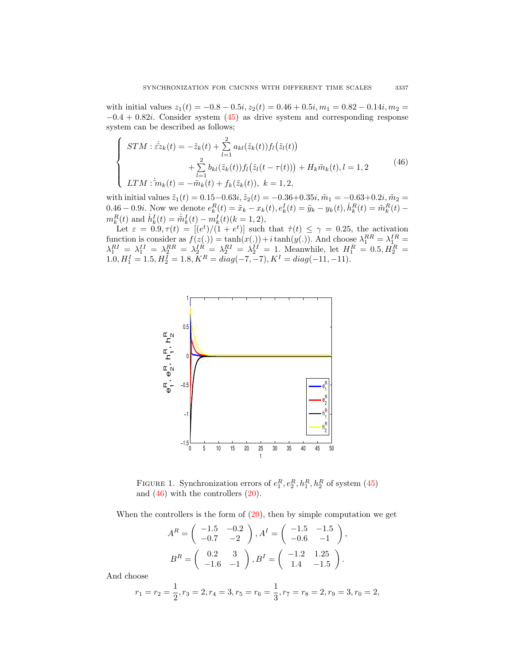with initial values  $z_1(t) = -0.8 - 0.5i$ ,  $z_2(t) = 0.46 + 0.5i$ ,  $m_1 = 0.82 - 0.14i$ ,  $m_2 =$  $-0.4 + 0.82i$ . Consider system [\(45\)](#page-13-0) as drive system and corresponding response system can be described as follows;

<span id="page-14-0"></span>
$$
\begin{cases}\nSTM: \dot{\tilde{z}}_k(t) = -\tilde{z}_k(t) + \sum_{l=1}^2 a_{kl}(\tilde{z}_k(t)) f_l(\tilde{z}_l(t)) \\
+ \sum_{l=1}^2 b_{kl}(\tilde{z}_k(t)) f_l(\tilde{z}_l(t - \tau(t))) + H_k \tilde{m}_k(t), l = 1, 2 \\
LTM: \dot{\tilde{m}}_k(t) = -\tilde{m}_k(t) + f_k(\tilde{z}_k(t)), \ k = 1, 2,\n\end{cases} (46)
$$

with initial values  $\tilde{z}_1(t) = 0.15-0.63i, \tilde{z}_2(t) = -0.36+0.35i, \tilde{m}_1 = -0.63+0.2i, \tilde{m}_2 =$ 0.46 – 0.9*i*. Now we denote  $e_k^R(t) = \tilde{x}_k - x_k(t)$ ,  $e_k^I(t) = \tilde{y}_k - y_k(t)$ ,  $\dot{h}_k^R(t) = \tilde{m}_k^R(t)$  $m_k^R(t)$  and  $\dot{h}_k^I(t) = \dot{m}_k^I(t) - m_k^I(t)(k = 1, 2),$ 

Let  $\varepsilon = 0.9, \tau(t) = [(e^t)/(1 + e^t)]$  such that  $\dot{\tau}(t) \leq \gamma = 0.25$ , the activation function is consider as  $f(z(.)) = \tanh(x(.)) + i \tanh(y(.))$ . And choose  $\lambda_1^{RR} = \lambda_1^{IR} =$  $\lambda_1^{RI} = \lambda_1^{II} = \lambda_2^{RR} = \lambda_2^{IR} = \lambda_2^{RI} = \lambda_2^{II} = 1$ . Meanwhile, let  $H_1^R = 0.5, H_2^R = 1$  $1.0, H_1^I = 1.5, H_2^I = 1.8, K^R = diag(-7, -7), K^I = diag(-11, -11).$ 



<span id="page-14-1"></span>FIGURE 1. Synchronization errors of  $e_1^R, e_2^R, h_1^R, h_2^R$  of system [\(45\)](#page-13-0) and [\(46\)](#page-14-0) with the controllers [\(20\)](#page-8-1).

When the controllers is the form of  $(20)$ , then by simple computation we get

$$
A^{R} = \begin{pmatrix} -1.5 & -0.2 \\ -0.7 & -2 \end{pmatrix}, A^{I} = \begin{pmatrix} -1.5 & -1.5 \\ -0.6 & -1 \end{pmatrix},
$$

$$
B^{R} = \begin{pmatrix} 0.2 & 3 \\ -1.6 & -1 \end{pmatrix}, B^{I} = \begin{pmatrix} -1.2 & 1.25 \\ 1.4 & -1.5 \end{pmatrix}.
$$

And choose

$$
r_1 = r_2 = \frac{1}{2}, r_3 = 2, r_4 = 3, r_5 = r_6 = \frac{1}{3}, r_7 = r_8 = 2, r_9 = 3, r_0 = 2,
$$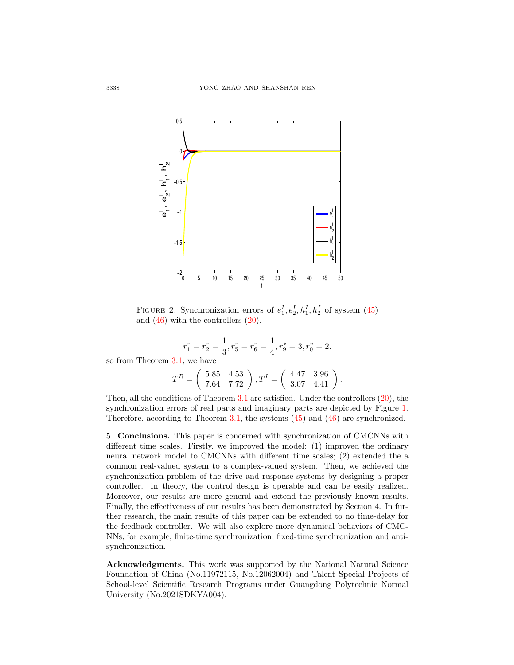

FIGURE 2. Synchronization errors of  $e_1^I, e_2^I, h_1^I, h_2^I$  of system [\(45\)](#page-13-0) and  $(46)$  with the controllers  $(20)$ .

$$
r_1^* = r_2^* = \frac{1}{3}, r_5^* = r_6^* = \frac{1}{4}, r_9^* = 3, r_0^* = 2.
$$

so from Theorem [3.1,](#page-8-4) we have

$$
T^{R} = \begin{pmatrix} 5.85 & 4.53 \\ 7.64 & 7.72 \end{pmatrix}, T^{I} = \begin{pmatrix} 4.47 & 3.96 \\ 3.07 & 4.41 \end{pmatrix}.
$$

Then, all the conditions of Theorem [3.1](#page-8-4) are satisfied. Under the controllers [\(20\)](#page-8-1), the synchronization errors of real parts and imaginary parts are depicted by Figure [1.](#page-14-1) Therefore, according to Theorem [3.1,](#page-8-4) the systems [\(45\)](#page-13-0) and [\(46\)](#page-14-0) are synchronized.

5. Conclusions. This paper is concerned with synchronization of CMCNNs with different time scales. Firstly, we improved the model: (1) improved the ordinary neural network model to CMCNNs with different time scales; (2) extended the a common real-valued system to a complex-valued system. Then, we achieved the synchronization problem of the drive and response systems by designing a proper controller. In theory, the control design is operable and can be easily realized. Moreover, our results are more general and extend the previously known results. Finally, the effectiveness of our results has been demonstrated by Section 4. In further research, the main results of this paper can be extended to no time-delay for the feedback controller. We will also explore more dynamical behaviors of CMC-NNs, for example, finite-time synchronization, fixed-time synchronization and antisynchronization.

Acknowledgments. This work was supported by the National Natural Science Foundation of China (No.11972115, No.12062004) and Talent Special Projects of School-level Scientific Research Programs under Guangdong Polytechnic Normal University (No.2021SDKYA004).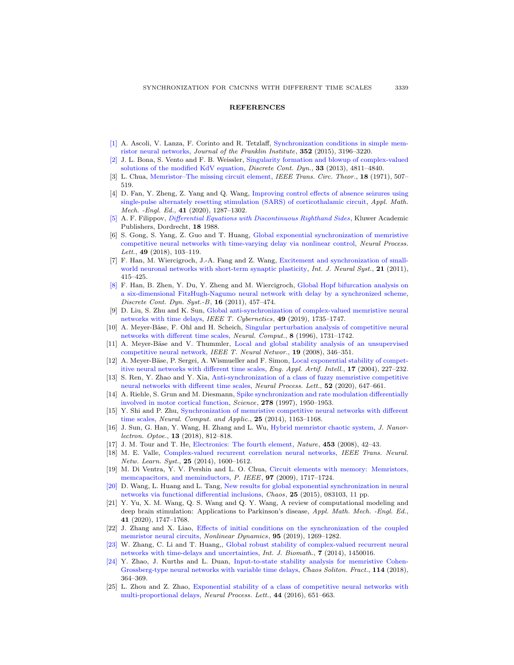#### **REFERENCES**

- <span id="page-16-9"></span>[\[1\]](http://www.ams.org/mathscinet-getitem?mr=MR3369923&return=pdf) A. Ascoli, V. Lanza, F. Corinto and R. Tetzlaff, [Synchronization conditions in simple mem](http://dx.doi.org/10.1016/j.jfranklin.2015.06.003)[ristor neural networks,](http://dx.doi.org/10.1016/j.jfranklin.2015.06.003) Journal of the Franklin Institute, 352 (2015), 3196–3220.
- <span id="page-16-23"></span>[\[2\]](http://www.ams.org/mathscinet-getitem?mr=MR3060816&return=pdf) J. L. Bona, S. Vento and F. B. Weissler, [Singularity formation and blowup of complex-valued](http://dx.doi.org/10.3934/dcds.2013.33.4811) [solutions of the modified KdV equation,](http://dx.doi.org/10.3934/dcds.2013.33.4811) *Discrete Cont. Dyn.*, **33** (2013), 4811–4840.
- <span id="page-16-0"></span>[3] L. Chua, [Memristor–The missing circuit element,](http://dx.doi.org/10.1109/TCT.1971.1083337) IEEE Trans. Circ. Theor., 18 (1971), 507– 519.
- <span id="page-16-12"></span>[4] D. Fan, Y. Zheng, Z. Yang and Q. Wang, [Improving control effects of absence seizures using](http://dx.doi.org/10.1007/s10483-020-2644-8) [single-pulse alternately resetting stimulation \(SARS\) of corticothalamic circuit,](http://dx.doi.org/10.1007/s10483-020-2644-8) Appl. Math. Mech. -Engl. Ed., 41 (2020), 1287–1302.
- <span id="page-16-24"></span>[\[5\]](http://www.ams.org/mathscinet-getitem?mr=MR1028776&return=pdf) A. F. Filippov, [Differential Equations with Discontinuous Righthand Sides](http://dx.doi.org/10.1007/978-94-015-7793-9), Kluwer Academic Publishers, Dordrecht, 18 1988.
- <span id="page-16-5"></span>[6] S. Gong, S. Yang, Z. Guo and T. Huang, [Global exponential synchronization of memristive](http://dx.doi.org/10.1007/s11063-017-9777-1) [competitive neural networks with time-varying delay via nonlinear control,](http://dx.doi.org/10.1007/s11063-017-9777-1) Neural Process. Lett.,  $49$  (2018), 103-119.
- <span id="page-16-13"></span>[7] F. Han, M. Wiercigroch, J.-A. Fang and Z. Wang, [Excitement and synchronization of small](http://dx.doi.org/10.1142/S0129065711002924)[world neuronal networks with short-term synaptic plasticity,](http://dx.doi.org/10.1142/S0129065711002924) Int. J. Neural Syst., 21 (2011), 415–425.
- <span id="page-16-14"></span>[\[8\]](http://www.ams.org/mathscinet-getitem?mr=MR2806273&return=pdf) F. Han, B. Zhen, Y. Du, Y. Zheng and M. Wiercigroch, [Global Hopf bifurcation analysis on](http://dx.doi.org/10.3934/dcdsb.2011.16.457) [a six-dimensional FitzHugh-Nagumo neural network with delay by a synchronized scheme,](http://dx.doi.org/10.3934/dcdsb.2011.16.457) Discrete Cont. Dyn. Syst.-B, 16 (2011), 457–474.
- <span id="page-16-22"></span>[9] D. Liu, S. Zhu and K. Sun, [Global anti-synchronization of complex-valued memristive neural](http://dx.doi.org/10.1109/TCYB.2018.2812708) [networks with time delays,](http://dx.doi.org/10.1109/TCYB.2018.2812708) IEEE T. Cybernetics, 49 (2019), 1735–1747.
- <span id="page-16-16"></span>[10] A. Meyer-Bäse, F. Ohl and H. Scheich, [Singular perturbation analysis of competitive neural](http://dx.doi.org/10.1162/neco.1996.8.8.1731) [networks with different time scales,](http://dx.doi.org/10.1162/neco.1996.8.8.1731) Neural. Comput., 8 (1996), 1731–1742.
- <span id="page-16-18"></span>[11] A. Meyer-Bäse and V. Thummler, [Local and global stability analysis of an unsupervised](http://dx.doi.org/10.1109/TNN.2007.908626) [competitive neural network,](http://dx.doi.org/10.1109/TNN.2007.908626) IEEE T. Neural Networ., 19 (2008), 346–351.
- <span id="page-16-17"></span>[12] A. Meyer-Bäse, P. Sergei, A. Wismueller and F. Simon, [Local exponential stability of compet](http://dx.doi.org/10.1016/j.engappai.2004.02.010)[itive neural networks with different time scales,](http://dx.doi.org/10.1016/j.engappai.2004.02.010) Eng. Appl. Artif. Intell., 17 (2004), 227–232.
- <span id="page-16-19"></span>[13] S. Ren, Y. Zhao and Y. Xia, [Anti-synchronization of a class of fuzzy memristive competitive](http://dx.doi.org/10.1007/s11063-020-10269-w) [neural networks with different time scales,](http://dx.doi.org/10.1007/s11063-020-10269-w) Neural Process. Lett., 52 (2020), 647–661.
- <span id="page-16-7"></span>[14] A. Riehle, S. Grun and M. Diesmann, [Spike synchronization and rate modulation differentially](http://dx.doi.org/10.1126/science.278.5345.1950) [involved in motor cortical function,](http://dx.doi.org/10.1126/science.278.5345.1950) Science, 278 (1997), 1950–1953.
- <span id="page-16-6"></span>[15] Y. Shi and P. Zhu, [Synchronization of memristive competitive neural networks with different](http://dx.doi.org/10.1007/s00521-014-1598-9) [time scales,](http://dx.doi.org/10.1007/s00521-014-1598-9) Neural. Comput. and Applic., 25 (2014), 1163–1168.
- <span id="page-16-2"></span>[16] J. Sun, G. Han, Y. Wang, H. Zhang and L. Wu, [Hybrid memristor chaotic system,](http://dx.doi.org/10.1166/jno.2018.2326) J. Nanorlectron. Optoe., 13 (2018), 812–818.
- <span id="page-16-3"></span>[17] J. M. Tour and T. He, [Electronics: The fourth element,](http://dx.doi.org/10.1038/453042a) Nature, 453 (2008), 42–43.
- <span id="page-16-21"></span>[18] M. E. Valle, [Complex-valued recurrent correlation neural networks,](http://dx.doi.org/10.1109/TNNLS.2014.2341013) IEEE Trans. Neural. Netw. Learn. Syst., **25** (2014), 1600-1612.
- <span id="page-16-1"></span>[19] M. Di Ventra, Y. V. Pershin and L. O. Chua, [Circuit elements with memory: Memristors,](http://dx.doi.org/10.1109/JPROC.2009.2021077) [memcapacitors, and meminductors,](http://dx.doi.org/10.1109/JPROC.2009.2021077) P. IEEE, 97 (2009), 1717–1724.
- <span id="page-16-10"></span>[\[20\]](http://www.ams.org/mathscinet-getitem?mr=MR3455999&return=pdf) D. Wang, L. Huang and L. Tang, [New results for global exponential synchronization in neural](http://dx.doi.org/10.1063/1.4927737) [networks via functional differential inclusions,](http://dx.doi.org/10.1063/1.4927737) Chaos, 25 (2015), 083103, 11 pp.
- <span id="page-16-11"></span>[21] Y. Yu, X. M. Wang, Q. S. Wang and Q. Y. Wang, A review of computational modeling and deep brain stimulation: Applications to Parkinson's disease, Appl. Math. Mech. -Engl. Ed., 41 (2020), 1747–1768.
- <span id="page-16-8"></span>[22] J. Zhang and X. Liao, [Effects of initial conditions on the synchronization of the coupled](http://dx.doi.org/10.1007/s11071-018-4628-9) [memristor neural circuits,](http://dx.doi.org/10.1007/s11071-018-4628-9) Nonlinear Dynamics, 95 (2019), 1269–1282.
- <span id="page-16-20"></span>[\[23\]](http://www.ams.org/mathscinet-getitem?mr=MR3189684&return=pdf) W. Zhang, C. Li and T. Huang,, [Global robust stability of complex-valued recurrent neural](http://dx.doi.org/10.1142/S1793524514500168) [networks with time-delays and uncertainties,](http://dx.doi.org/10.1142/S1793524514500168) Int. J. Biomath., 7 (2014), 1450016.
- <span id="page-16-4"></span>[\[24\]](http://www.ams.org/mathscinet-getitem?mr=MR3856657&return=pdf) Y. Zhao, J. Kurths and L. Duan, [Input-to-state stability analysis for memristive Cohen-](http://dx.doi.org/10.1016/j.chaos.2018.07.021)[Grossberg-type neural networks with variable time delays,](http://dx.doi.org/10.1016/j.chaos.2018.07.021) *Chaos Soliton. Fract.*, 114 (2018), 364–369.
- <span id="page-16-15"></span>[25] L. Zhou and Z. Zhao, [Exponential stability of a class of competitive neural networks with](http://dx.doi.org/10.1007/s11063-015-9486-6) [multi-proportional delays,](http://dx.doi.org/10.1007/s11063-015-9486-6) Neural Process. Lett., 44 (2016), 651–663.